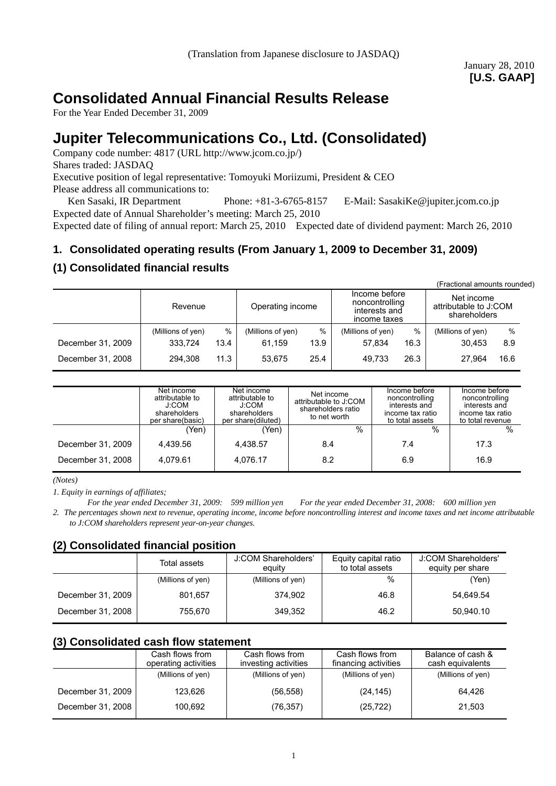# **Consolidated Annual Financial Results Release**

For the Year Ended December 31, 2009

# **Jupiter Telecommunications Co., Ltd. (Consolidated)**

Company code number: 4817 (URL http://www.jcom.co.jp/) Shares traded: JASDAQ Executive position of legal representative: Tomoyuki Moriizumi, President & CEO Please address all communications to:

Ken Sasaki, IR Department Phone: +81-3-6765-8157 E-Mail: SasakiKe@jupiter.jcom.co.jp Expected date of Annual Shareholder's meeting: March 25, 2010

Expected date of filing of annual report: March 25, 2010 Expected date of dividend payment: March 26, 2010

# **1. Consolidated operating results (From January 1, 2009 to December 31, 2009)**

# **(1) Consolidated financial results**

|                   |                   |      |                   |      |                                                                  |      | (Fractional amounts rounded)                        |      |  |
|-------------------|-------------------|------|-------------------|------|------------------------------------------------------------------|------|-----------------------------------------------------|------|--|
|                   | Revenue           |      | Operating income  |      | Income before<br>noncontrolling<br>interests and<br>income taxes |      | Net income<br>attributable to J:COM<br>shareholders |      |  |
|                   | (Millions of yen) | %    | (Millions of yen) | %    | (Millions of yen)                                                | $\%$ | (Millions of yen)                                   | %    |  |
| December 31, 2009 | 333.724           | 13.4 | 61.159            | 13.9 | 57.834                                                           | 16.3 | 30.453                                              | 8.9  |  |
| December 31, 2008 | 294.308           | 11.3 | 53.675            | 25.4 | 49.733                                                           | 26.3 | 27.964                                              | 16.6 |  |

|                   | Net income<br>attributable to<br>J:COM<br>shareholders<br>per share(basic) | Net income<br>attributable to<br>J:COM<br>shareholders<br>per share(diluted) | Net income<br>attributable to J:COM<br>shareholders ratio<br>to net worth | Income before<br>noncontrolling<br>interests and<br>income tax ratio<br>to total assets | Income before<br>noncontrolling<br>interests and<br>income tax ratio<br>to total revenue |
|-------------------|----------------------------------------------------------------------------|------------------------------------------------------------------------------|---------------------------------------------------------------------------|-----------------------------------------------------------------------------------------|------------------------------------------------------------------------------------------|
|                   | (Yen)                                                                      | (Yen)                                                                        | $\%$                                                                      | %                                                                                       | %                                                                                        |
| December 31, 2009 | 4.439.56                                                                   | 4.438.57                                                                     | 8.4                                                                       | 7.4                                                                                     | 17.3                                                                                     |
| December 31, 2008 | 4.079.61                                                                   | 4.076.17                                                                     | 8.2                                                                       | 6.9                                                                                     | 16.9                                                                                     |

*(Notes)* 

*1. Equity in earnings of affiliates;* 

*For the year ended December 31, 2009: 599 million yen For the year ended December 31, 2008: 600 million yen*

*2. The percentages shown next to revenue, operating income, income before noncontrolling interest and income taxes and net income attributable to J:COM shareholders represent year-on-year changes.* 

# **(2) Consolidated financial position**

|                   | Total assets      | J:COM Shareholders'<br>equity | Equity capital ratio<br>to total assets | J:COM Shareholders'<br>equity per share |
|-------------------|-------------------|-------------------------------|-----------------------------------------|-----------------------------------------|
|                   | (Millions of yen) | (Millions of yen)             | $\%$                                    | (Yen)                                   |
| December 31, 2009 | 801.657           | 374.902                       | 46.8                                    | 54.649.54                               |
| December 31, 2008 | 755.670           | 349,352                       | 46.2                                    | 50.940.10                               |

# **(3) Consolidated cash flow statement**

|                   | Cash flows from<br>operating activities | Cash flows from<br>investing activities | Cash flows from<br>financing activities | Balance of cash &<br>cash equivalents |
|-------------------|-----------------------------------------|-----------------------------------------|-----------------------------------------|---------------------------------------|
|                   | (Millions of yen)                       | (Millions of yen)                       | (Millions of yen)                       | (Millions of yen)                     |
| December 31, 2009 | 123.626                                 | (56, 558)                               | (24, 145)                               | 64.426                                |
| December 31, 2008 | 100.692                                 | (76, 357)                               | (25, 722)                               | 21.503                                |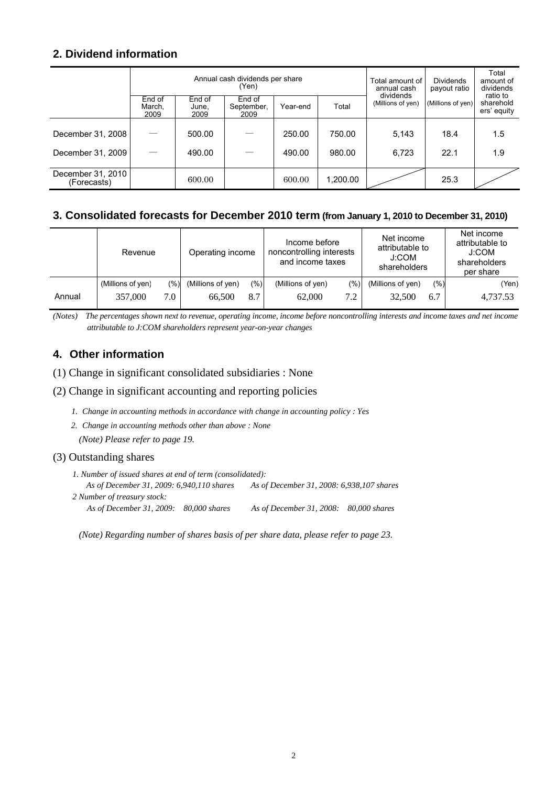# **2. Dividend information**

|                                  | Annual cash dividends per share<br>(Yen) |                         |                              |          |          | Total amount of<br>annual cash | <b>Dividends</b><br>payout ratio | Total<br>amount of<br>dividends      |
|----------------------------------|------------------------------------------|-------------------------|------------------------------|----------|----------|--------------------------------|----------------------------------|--------------------------------------|
|                                  | End of<br>March.<br>2009                 | End of<br>June,<br>2009 | End of<br>September,<br>2009 | Year-end | Total    | dividends<br>(Millions of yen) | (Millions of yen)                | ratio to<br>sharehold<br>ers' equity |
|                                  |                                          |                         |                              |          |          |                                |                                  |                                      |
| December 31, 2008                |                                          | 500.00                  |                              | 250.00   | 750.00   | 5,143                          | 18.4                             | 1.5                                  |
| December 31, 2009                |                                          | 490.00                  |                              | 490.00   | 980.00   | 6,723                          | 22.1                             | 1.9                                  |
| December 31, 2010<br>(Forecasts) |                                          | 600.00                  |                              | 600.00   | 1,200.00 |                                | 25.3                             |                                      |

# **3. Consolidated forecasts for December 2010 term (from January 1, 2010 to December 31, 2010)**

|        | Revenue           | Income before<br>Operating income<br>and income taxes |                   |         |                   | Net income<br>attributable to<br>noncontrolling interests<br>J:COM<br>shareholders |                   |     | Net income<br>attributable to<br>J:COM<br>shareholders<br>per share |
|--------|-------------------|-------------------------------------------------------|-------------------|---------|-------------------|------------------------------------------------------------------------------------|-------------------|-----|---------------------------------------------------------------------|
|        | (Millions of yen) | (%)]                                                  | (Millions of yen) | $(\%)]$ | (Millions of yen) | (%)                                                                                | (Millions of yen) | (%) | (Yen)                                                               |
| Annual | 357,000           | ⇁<br>$\Omega$                                         | 66,500            | 8.7     | 62,000            | 7.2                                                                                | 32,500            | 6.7 | 4,737.53                                                            |

*(Notes) The percentages shown next to revenue, operating income, income before noncontrolling interests and income taxes and net income attributable to J:COM shareholders represent year-on-year changes* 

# **4. Other information**

(1) Change in significant consolidated subsidiaries : None

### (2) Change in significant accounting and reporting policies

- *1. Change in accounting methods in accordance with change in accounting policy : Yes*
- *2. Change in accounting methods other than above : None (Note) Please refer to page 19.*

### (3) Outstanding shares

- *1. Number of issued shares at end of term (consolidated): As of December 31, 2009: 6,940,110 shares As of December 31, 2008: 6,938,107 shares 2 Number of treasury stock:* 
	- *As of December 31, 2009: 80,000 shares As of December 31, 2008: 80,000 shares*

*(Note) Regarding number of shares basis of per share data, please refer to page 23.*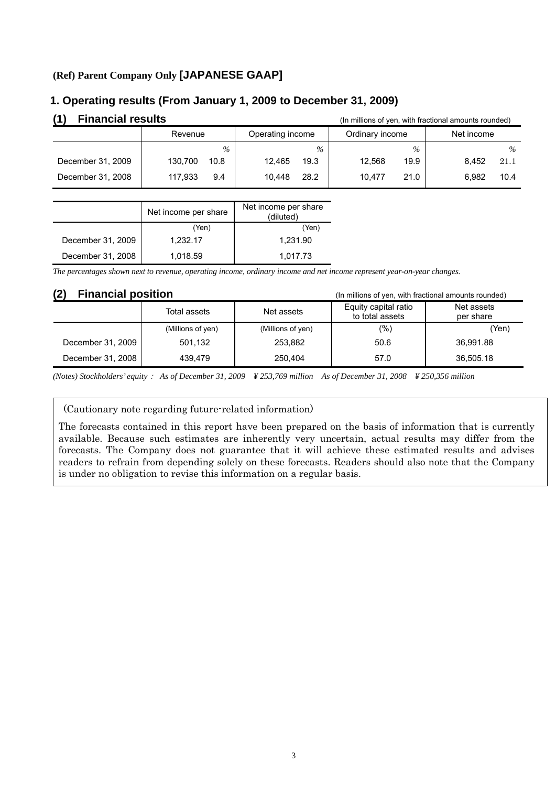## **(Ref) Parent Company Only [JAPANESE GAAP]**

## **1. Operating results (From January 1, 2009 to December 31, 2009)**

| <b>Financial results</b><br>(In millions of yen, with fractional amounts rounded) |                 |                  |                 |               |  |  |
|-----------------------------------------------------------------------------------|-----------------|------------------|-----------------|---------------|--|--|
|                                                                                   | Revenue         | Operating income | Ordinary income | Net income    |  |  |
|                                                                                   | $\%$            | $\%$             | $\%$            | $\%$          |  |  |
| December 31, 2009                                                                 | 130.700<br>10.8 | 19.3<br>12,465   | 19.9<br>12.568  | 8.452<br>21.1 |  |  |
| December 31, 2008                                                                 | 117.933<br>9.4  | 28.2<br>10.448   | 10.477<br>21.0  | 6.982<br>10.4 |  |  |

|                   | Net income per share | Net income per share<br>(diluted) |
|-------------------|----------------------|-----------------------------------|
|                   | (Yen)                | (Yen)                             |
| December 31, 2009 | 1,232.17             | 1,231.90                          |
| December 31, 2008 | 1,018.59             | 1.017.73                          |

*The percentages shown next to revenue, operating income, ordinary income and net income represent year-on-year changes.*

### **(2) Financial position** (In millions of yen, with fractional amounts rounded)

| .<br>i iliuliviui bositivii |                   | $\mu$ . Think the vertex with the cubital amounts founded $\mu$ |                                         |                         |
|-----------------------------|-------------------|-----------------------------------------------------------------|-----------------------------------------|-------------------------|
|                             | Total assets      | Net assets                                                      | Equity capital ratio<br>to total assets | Net assets<br>per share |
|                             | (Millions of yen) | (Millions of yen)                                               | (%)                                     | (Yen)                   |
| December 31, 2009           | 501.132           | 253.882                                                         | 50.6                                    | 36.991.88               |
| December 31, 2008           | 439.479           | 250.404                                                         | 57.0                                    | 36,505.18               |

*(Notes) Stockholders' equity*: *As of December 31, 2009 ¥ 253,769 million As of December 31, 2008 ¥ 250,356 million* 

(Cautionary note regarding future-related information)

The forecasts contained in this report have been prepared on the basis of information that is currently available. Because such estimates are inherently very uncertain, actual results may differ from the forecasts. The Company does not guarantee that it will achieve these estimated results and advises readers to refrain from depending solely on these forecasts. Readers should also note that the Company is under no obligation to revise this information on a regular basis.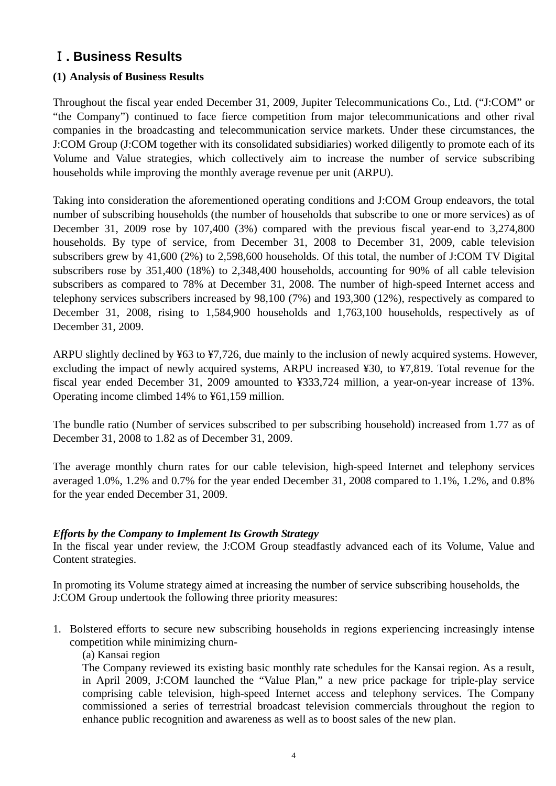# Ⅰ**. Business Results**

# **(1) Analysis of Business Results**

Throughout the fiscal year ended December 31, 2009, Jupiter Telecommunications Co., Ltd. ("J:COM" or "the Company") continued to face fierce competition from major telecommunications and other rival companies in the broadcasting and telecommunication service markets. Under these circumstances, the J:COM Group (J:COM together with its consolidated subsidiaries) worked diligently to promote each of its Volume and Value strategies, which collectively aim to increase the number of service subscribing households while improving the monthly average revenue per unit (ARPU).

Taking into consideration the aforementioned operating conditions and J:COM Group endeavors, the total number of subscribing households (the number of households that subscribe to one or more services) as of December 31, 2009 rose by 107,400 (3%) compared with the previous fiscal year-end to 3,274,800 households. By type of service, from December 31, 2008 to December 31, 2009, cable television subscribers grew by 41,600 (2%) to 2,598,600 households. Of this total, the number of J:COM TV Digital subscribers rose by 351,400 (18%) to 2,348,400 households, accounting for 90% of all cable television subscribers as compared to 78% at December 31, 2008. The number of high-speed Internet access and telephony services subscribers increased by 98,100 (7%) and 193,300 (12%), respectively as compared to December 31, 2008, rising to 1,584,900 households and 1,763,100 households, respectively as of December 31, 2009.

ARPU slightly declined by ¥63 to ¥7,726, due mainly to the inclusion of newly acquired systems. However, excluding the impact of newly acquired systems, ARPU increased ¥30, to ¥7,819. Total revenue for the fiscal year ended December 31, 2009 amounted to ¥333,724 million, a year-on-year increase of 13%. Operating income climbed 14% to ¥61,159 million.

The bundle ratio (Number of services subscribed to per subscribing household) increased from 1.77 as of December 31, 2008 to 1.82 as of December 31, 2009.

The average monthly churn rates for our cable television, high-speed Internet and telephony services averaged 1.0%, 1.2% and 0.7% for the year ended December 31, 2008 compared to 1.1%, 1.2%, and 0.8% for the year ended December 31, 2009.

# *Efforts by the Company to Implement Its Growth Strategy*

In the fiscal year under review, the J:COM Group steadfastly advanced each of its Volume, Value and Content strategies.

In promoting its Volume strategy aimed at increasing the number of service subscribing households, the J:COM Group undertook the following three priority measures:

1. Bolstered efforts to secure new subscribing households in regions experiencing increasingly intense competition while minimizing churn-

## (a) Kansai region

The Company reviewed its existing basic monthly rate schedules for the Kansai region. As a result, in April 2009, J:COM launched the "Value Plan," a new price package for triple-play service comprising cable television, high-speed Internet access and telephony services. The Company commissioned a series of terrestrial broadcast television commercials throughout the region to enhance public recognition and awareness as well as to boost sales of the new plan.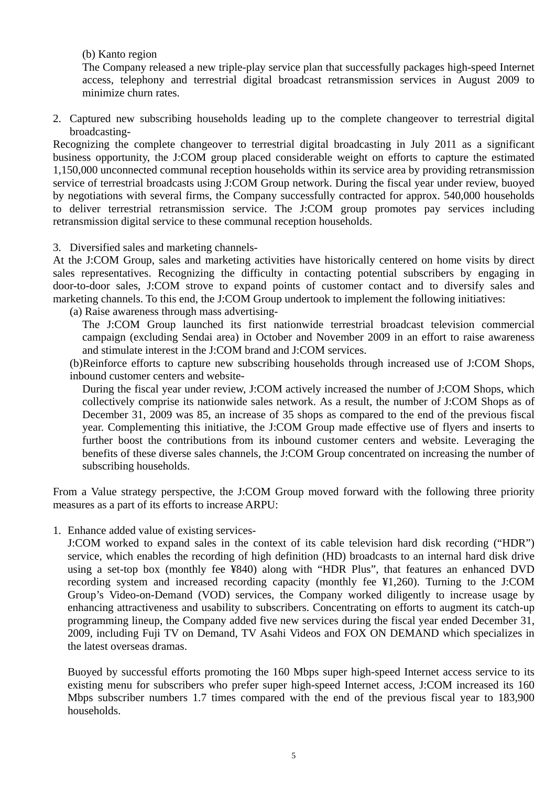(b) Kanto region

The Company released a new triple-play service plan that successfully packages high-speed Internet access, telephony and terrestrial digital broadcast retransmission services in August 2009 to minimize churn rates.

2. Captured new subscribing households leading up to the complete changeover to terrestrial digital broadcasting-

Recognizing the complete changeover to terrestrial digital broadcasting in July 2011 as a significant business opportunity, the J:COM group placed considerable weight on efforts to capture the estimated 1,150,000 unconnected communal reception households within its service area by providing retransmission service of terrestrial broadcasts using J:COM Group network. During the fiscal year under review, buoyed by negotiations with several firms, the Company successfully contracted for approx. 540,000 households to deliver terrestrial retransmission service. The J:COM group promotes pay services including retransmission digital service to these communal reception households.

3. Diversified sales and marketing channels-

At the J:COM Group, sales and marketing activities have historically centered on home visits by direct sales representatives. Recognizing the difficulty in contacting potential subscribers by engaging in door-to-door sales, J:COM strove to expand points of customer contact and to diversify sales and marketing channels. To this end, the J:COM Group undertook to implement the following initiatives:

(a) Raise awareness through mass advertising-

The J:COM Group launched its first nationwide terrestrial broadcast television commercial campaign (excluding Sendai area) in October and November 2009 in an effort to raise awareness and stimulate interest in the J:COM brand and J:COM services.

(b)Reinforce efforts to capture new subscribing households through increased use of J:COM Shops, inbound customer centers and website-

During the fiscal year under review, J:COM actively increased the number of J:COM Shops, which collectively comprise its nationwide sales network. As a result, the number of J:COM Shops as of December 31, 2009 was 85, an increase of 35 shops as compared to the end of the previous fiscal year. Complementing this initiative, the J:COM Group made effective use of flyers and inserts to further boost the contributions from its inbound customer centers and website. Leveraging the benefits of these diverse sales channels, the J:COM Group concentrated on increasing the number of subscribing households.

From a Value strategy perspective, the J:COM Group moved forward with the following three priority measures as a part of its efforts to increase ARPU:

1. Enhance added value of existing services-

 J:COM worked to expand sales in the context of its cable television hard disk recording ("HDR") service, which enables the recording of high definition (HD) broadcasts to an internal hard disk drive using a set-top box (monthly fee ¥840) along with "HDR Plus", that features an enhanced DVD recording system and increased recording capacity (monthly fee ¥1,260). Turning to the J:COM Group's Video-on-Demand (VOD) services, the Company worked diligently to increase usage by enhancing attractiveness and usability to subscribers. Concentrating on efforts to augment its catch-up programming lineup, the Company added five new services during the fiscal year ended December 31, 2009, including Fuji TV on Demand, TV Asahi Videos and FOX ON DEMAND which specializes in the latest overseas dramas.

 Buoyed by successful efforts promoting the 160 Mbps super high-speed Internet access service to its existing menu for subscribers who prefer super high-speed Internet access, J:COM increased its 160 Mbps subscriber numbers 1.7 times compared with the end of the previous fiscal year to 183,900 households.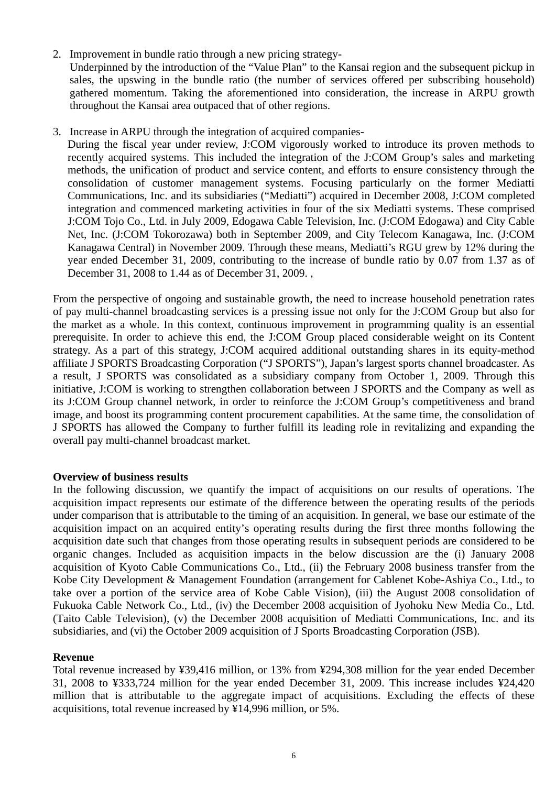2. Improvement in bundle ratio through a new pricing strategy-

Underpinned by the introduction of the "Value Plan" to the Kansai region and the subsequent pickup in sales, the upswing in the bundle ratio (the number of services offered per subscribing household) gathered momentum. Taking the aforementioned into consideration, the increase in ARPU growth throughout the Kansai area outpaced that of other regions.

3. Increase in ARPU through the integration of acquired companies-

During the fiscal year under review, J:COM vigorously worked to introduce its proven methods to recently acquired systems. This included the integration of the J:COM Group's sales and marketing methods, the unification of product and service content, and efforts to ensure consistency through the consolidation of customer management systems. Focusing particularly on the former Mediatti Communications, Inc. and its subsidiaries ("Mediatti") acquired in December 2008, J:COM completed integration and commenced marketing activities in four of the six Mediatti systems. These comprised J:COM Tojo Co., Ltd. in July 2009, Edogawa Cable Television, Inc. (J:COM Edogawa) and City Cable Net, Inc. (J:COM Tokorozawa) both in September 2009, and City Telecom Kanagawa, Inc. (J:COM Kanagawa Central) in November 2009. Through these means, Mediatti's RGU grew by 12% during the year ended December 31, 2009, contributing to the increase of bundle ratio by 0.07 from 1.37 as of December 31, 2008 to 1.44 as of December 31, 2009. ,

From the perspective of ongoing and sustainable growth, the need to increase household penetration rates of pay multi-channel broadcasting services is a pressing issue not only for the J:COM Group but also for the market as a whole. In this context, continuous improvement in programming quality is an essential prerequisite. In order to achieve this end, the J:COM Group placed considerable weight on its Content strategy. As a part of this strategy, J:COM acquired additional outstanding shares in its equity-method affiliate J SPORTS Broadcasting Corporation ("J SPORTS"), Japan's largest sports channel broadcaster. As a result, J SPORTS was consolidated as a subsidiary company from October 1, 2009. Through this initiative, J:COM is working to strengthen collaboration between J SPORTS and the Company as well as its J:COM Group channel network, in order to reinforce the J:COM Group's competitiveness and brand image, and boost its programming content procurement capabilities. At the same time, the consolidation of J SPORTS has allowed the Company to further fulfill its leading role in revitalizing and expanding the overall pay multi-channel broadcast market.

### **Overview of business results**

In the following discussion, we quantify the impact of acquisitions on our results of operations. The acquisition impact represents our estimate of the difference between the operating results of the periods under comparison that is attributable to the timing of an acquisition. In general, we base our estimate of the acquisition impact on an acquired entity's operating results during the first three months following the acquisition date such that changes from those operating results in subsequent periods are considered to be organic changes. Included as acquisition impacts in the below discussion are the (i) January 2008 acquisition of Kyoto Cable Communications Co., Ltd., (ii) the February 2008 business transfer from the Kobe City Development & Management Foundation (arrangement for Cablenet Kobe-Ashiya Co., Ltd., to take over a portion of the service area of Kobe Cable Vision), (iii) the August 2008 consolidation of Fukuoka Cable Network Co., Ltd., (iv) the December 2008 acquisition of Jyohoku New Media Co., Ltd. (Taito Cable Television), (v) the December 2008 acquisition of Mediatti Communications, Inc. and its subsidiaries, and (vi) the October 2009 acquisition of J Sports Broadcasting Corporation (JSB).

### **Revenue**

Total revenue increased by ¥39,416 million, or 13% from ¥294,308 million for the year ended December 31, 2008 to ¥333,724 million for the year ended December 31, 2009. This increase includes ¥24,420 million that is attributable to the aggregate impact of acquisitions. Excluding the effects of these acquisitions, total revenue increased by ¥14,996 million, or 5%.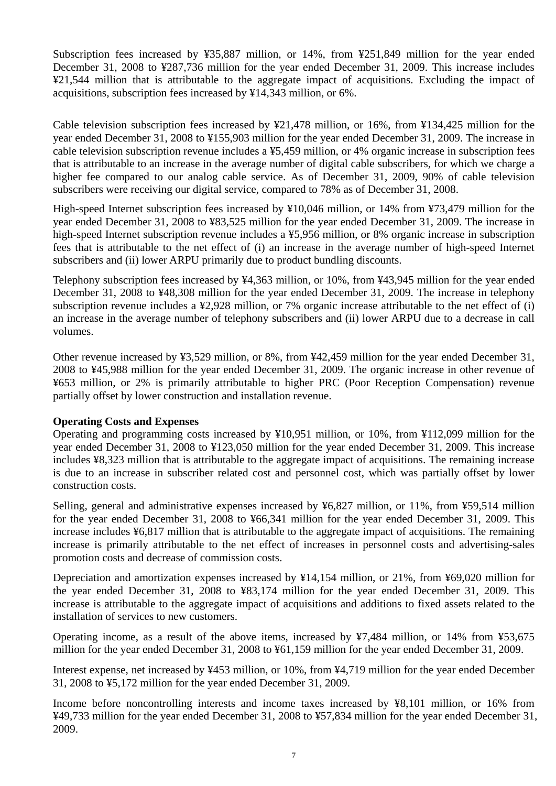Subscription fees increased by ¥35,887 million, or 14%, from ¥251,849 million for the year ended December 31, 2008 to ¥287,736 million for the year ended December 31, 2009. This increase includes ¥21,544 million that is attributable to the aggregate impact of acquisitions. Excluding the impact of acquisitions, subscription fees increased by ¥14,343 million, or 6%.

Cable television subscription fees increased by ¥21,478 million, or 16%, from ¥134,425 million for the year ended December 31, 2008 to ¥155,903 million for the year ended December 31, 2009. The increase in cable television subscription revenue includes a ¥5,459 million, or 4% organic increase in subscription fees that is attributable to an increase in the average number of digital cable subscribers, for which we charge a higher fee compared to our analog cable service. As of December 31, 2009, 90% of cable television subscribers were receiving our digital service, compared to 78% as of December 31, 2008.

High-speed Internet subscription fees increased by ¥10,046 million, or 14% from ¥73,479 million for the year ended December 31, 2008 to ¥83,525 million for the year ended December 31, 2009. The increase in high-speed Internet subscription revenue includes a ¥5,956 million, or 8% organic increase in subscription fees that is attributable to the net effect of (i) an increase in the average number of high-speed Internet subscribers and (ii) lower ARPU primarily due to product bundling discounts.

Telephony subscription fees increased by ¥4,363 million, or 10%, from ¥43,945 million for the year ended December 31, 2008 to ¥48,308 million for the year ended December 31, 2009. The increase in telephony subscription revenue includes a ¥2,928 million, or 7% organic increase attributable to the net effect of (i) an increase in the average number of telephony subscribers and (ii) lower ARPU due to a decrease in call volumes.

Other revenue increased by ¥3,529 million, or 8%, from ¥42,459 million for the year ended December 31, 2008 to ¥45,988 million for the year ended December 31, 2009. The organic increase in other revenue of ¥653 million, or 2% is primarily attributable to higher PRC (Poor Reception Compensation) revenue partially offset by lower construction and installation revenue.

# **Operating Costs and Expenses**

Operating and programming costs increased by ¥10,951 million, or 10%, from ¥112,099 million for the year ended December 31, 2008 to ¥123,050 million for the year ended December 31, 2009. This increase includes ¥8,323 million that is attributable to the aggregate impact of acquisitions. The remaining increase is due to an increase in subscriber related cost and personnel cost, which was partially offset by lower construction costs.

Selling, general and administrative expenses increased by ¥6,827 million, or 11%, from ¥59,514 million for the year ended December 31, 2008 to ¥66,341 million for the year ended December 31, 2009. This increase includes ¥6,817 million that is attributable to the aggregate impact of acquisitions. The remaining increase is primarily attributable to the net effect of increases in personnel costs and advertising-sales promotion costs and decrease of commission costs.

Depreciation and amortization expenses increased by ¥14,154 million, or 21%, from ¥69,020 million for the year ended December 31, 2008 to ¥83,174 million for the year ended December 31, 2009. This increase is attributable to the aggregate impact of acquisitions and additions to fixed assets related to the installation of services to new customers.

Operating income, as a result of the above items, increased by ¥7,484 million, or 14% from ¥53,675 million for the year ended December 31, 2008 to ¥61,159 million for the year ended December 31, 2009.

Interest expense, net increased by ¥453 million, or 10%, from ¥4,719 million for the year ended December 31, 2008 to ¥5,172 million for the year ended December 31, 2009.

Income before noncontrolling interests and income taxes increased by ¥8,101 million, or 16% from ¥49,733 million for the year ended December 31, 2008 to ¥57,834 million for the year ended December 31, 2009.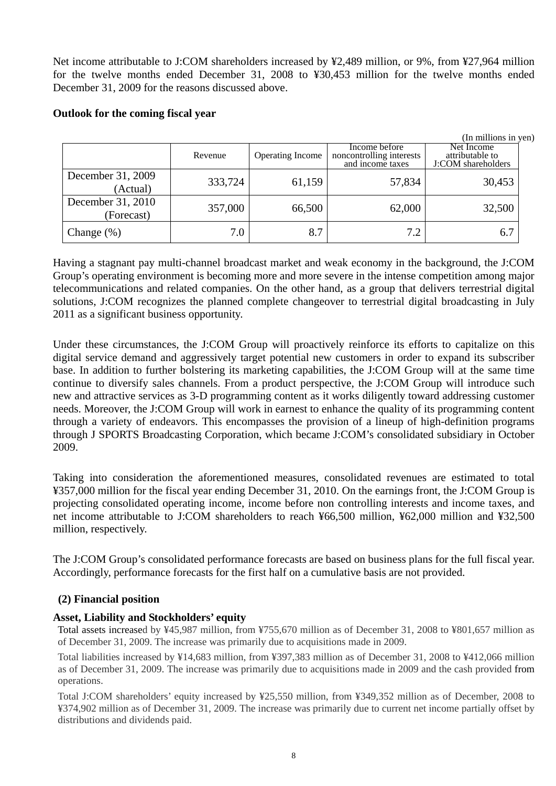Net income attributable to J:COM shareholders increased by ¥2,489 million, or 9%, from ¥27,964 million for the twelve months ended December 31, 2008 to ¥30,453 million for the twelve months ended December 31, 2009 for the reasons discussed above.

### **Outlook for the coming fiscal year**

|                                 |         |                  |                                                               | (In millions in yen)                                |
|---------------------------------|---------|------------------|---------------------------------------------------------------|-----------------------------------------------------|
|                                 | Revenue | Operating Income | Income before<br>noncontrolling interests<br>and income taxes | Net Income<br>attributable to<br>J:COM shareholders |
| December 31, 2009<br>(Actual)   | 333,724 | 61,159           | 57,834                                                        | 30,453                                              |
| December 31, 2010<br>(Forecast) | 357,000 | 66,500           | 62,000                                                        | 32,500                                              |
| Change $(\%)$                   | 7.0     | 8.7              | 7.2                                                           | 6.7                                                 |

Having a stagnant pay multi-channel broadcast market and weak economy in the background, the J:COM Group's operating environment is becoming more and more severe in the intense competition among major telecommunications and related companies. On the other hand, as a group that delivers terrestrial digital solutions, J:COM recognizes the planned complete changeover to terrestrial digital broadcasting in July 2011 as a significant business opportunity.

Under these circumstances, the J:COM Group will proactively reinforce its efforts to capitalize on this digital service demand and aggressively target potential new customers in order to expand its subscriber base. In addition to further bolstering its marketing capabilities, the J:COM Group will at the same time continue to diversify sales channels. From a product perspective, the J:COM Group will introduce such new and attractive services as 3-D programming content as it works diligently toward addressing customer needs. Moreover, the J:COM Group will work in earnest to enhance the quality of its programming content through a variety of endeavors. This encompasses the provision of a lineup of high-definition programs through J SPORTS Broadcasting Corporation, which became J:COM's consolidated subsidiary in October 2009.

Taking into consideration the aforementioned measures, consolidated revenues are estimated to total ¥357,000 million for the fiscal year ending December 31, 2010. On the earnings front, the J:COM Group is projecting consolidated operating income, income before non controlling interests and income taxes, and net income attributable to J:COM shareholders to reach ¥66,500 million, ¥62,000 million and ¥32,500 million, respectively.

The J:COM Group's consolidated performance forecasts are based on business plans for the full fiscal year. Accordingly, performance forecasts for the first half on a cumulative basis are not provided.

### **(2) Financial position**

### **Asset, Liability and Stockholders' equity**

Total assets increased by ¥45,987 million, from ¥755,670 million as of December 31, 2008 to ¥801,657 million as of December 31, 2009. The increase was primarily due to acquisitions made in 2009.

Total liabilities increased by ¥14,683 million, from ¥397,383 million as of December 31, 2008 to ¥412,066 million as of December 31, 2009. The increase was primarily due to acquisitions made in 2009 and the cash provided from operations.

Total J:COM shareholders' equity increased by ¥25,550 million, from ¥349,352 million as of December, 2008 to ¥374,902 million as of December 31, 2009. The increase was primarily due to current net income partially offset by distributions and dividends paid.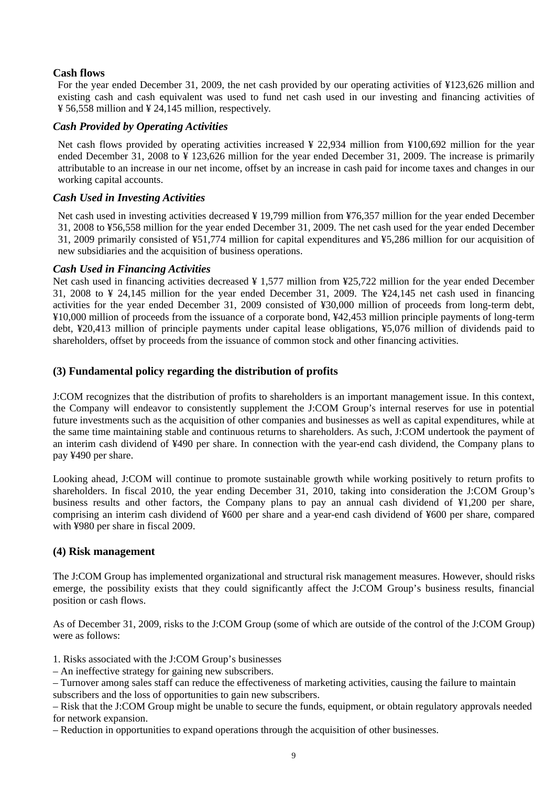### **Cash flows**

For the year ended December 31, 2009, the net cash provided by our operating activities of ¥123,626 million and existing cash and cash equivalent was used to fund net cash used in our investing and financing activities of ¥ 56,558 million and ¥ 24,145 million, respectively.

### *Cash Provided by Operating Activities*

Net cash flows provided by operating activities increased ¥ 22,934 million from ¥100,692 million for the year ended December 31, 2008 to ¥ 123,626 million for the year ended December 31, 2009. The increase is primarily attributable to an increase in our net income, offset by an increase in cash paid for income taxes and changes in our working capital accounts.

## *Cash Used in Investing Activities*

Net cash used in investing activities decreased ¥ 19,799 million from ¥76,357 million for the year ended December 31, 2008 to ¥56,558 million for the year ended December 31, 2009. The net cash used for the year ended December 31, 2009 primarily consisted of ¥51,774 million for capital expenditures and ¥5,286 million for our acquisition of new subsidiaries and the acquisition of business operations.

## *Cash Used in Financing Activities*

Net cash used in financing activities decreased  $\frac{1}{2}$  1,577 million from  $\frac{1}{2}$  million for the year ended December 31, 2008 to ¥ 24,145 million for the year ended December 31, 2009. The ¥24,145 net cash used in financing activities for the year ended December 31, 2009 consisted of ¥30,000 million of proceeds from long-term debt, ¥10,000 million of proceeds from the issuance of a corporate bond, ¥42,453 million principle payments of long-term debt, ¥20,413 million of principle payments under capital lease obligations, ¥5,076 million of dividends paid to shareholders, offset by proceeds from the issuance of common stock and other financing activities.

## **(3) Fundamental policy regarding the distribution of profits**

J:COM recognizes that the distribution of profits to shareholders is an important management issue. In this context, the Company will endeavor to consistently supplement the J:COM Group's internal reserves for use in potential future investments such as the acquisition of other companies and businesses as well as capital expenditures, while at the same time maintaining stable and continuous returns to shareholders. As such, J:COM undertook the payment of an interim cash dividend of ¥490 per share. In connection with the year-end cash dividend, the Company plans to pay ¥490 per share.

Looking ahead, J:COM will continue to promote sustainable growth while working positively to return profits to shareholders. In fiscal 2010, the year ending December 31, 2010, taking into consideration the J:COM Group's business results and other factors, the Company plans to pay an annual cash dividend of ¥1,200 per share, comprising an interim cash dividend of ¥600 per share and a year-end cash dividend of ¥600 per share, compared with ¥980 per share in fiscal 2009.

### **(4) Risk management**

The J:COM Group has implemented organizational and structural risk management measures. However, should risks emerge, the possibility exists that they could significantly affect the J:COM Group's business results, financial position or cash flows.

As of December 31, 2009, risks to the J:COM Group (some of which are outside of the control of the J:COM Group) were as follows:

1. Risks associated with the J:COM Group's businesses

– An ineffective strategy for gaining new subscribers.

– Turnover among sales staff can reduce the effectiveness of marketing activities, causing the failure to maintain subscribers and the loss of opportunities to gain new subscribers.

– Risk that the J:COM Group might be unable to secure the funds, equipment, or obtain regulatory approvals needed for network expansion.

– Reduction in opportunities to expand operations through the acquisition of other businesses.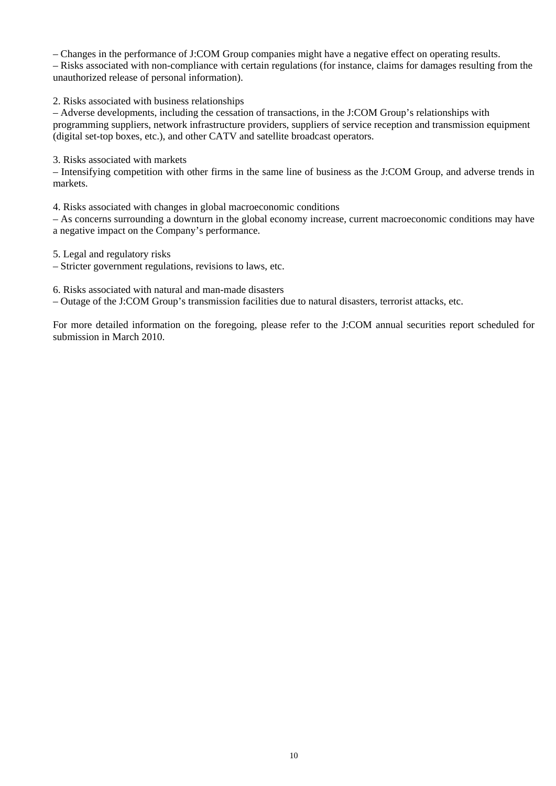– Changes in the performance of J:COM Group companies might have a negative effect on operating results. – Risks associated with non-compliance with certain regulations (for instance, claims for damages resulting from the unauthorized release of personal information).

2. Risks associated with business relationships

– Adverse developments, including the cessation of transactions, in the J:COM Group's relationships with programming suppliers, network infrastructure providers, suppliers of service reception and transmission equipment (digital set-top boxes, etc.), and other CATV and satellite broadcast operators.

3. Risks associated with markets

– Intensifying competition with other firms in the same line of business as the J:COM Group, and adverse trends in markets.

4. Risks associated with changes in global macroeconomic conditions

– As concerns surrounding a downturn in the global economy increase, current macroeconomic conditions may have a negative impact on the Company's performance.

5. Legal and regulatory risks

– Stricter government regulations, revisions to laws, etc.

6. Risks associated with natural and man-made disasters

– Outage of the J:COM Group's transmission facilities due to natural disasters, terrorist attacks, etc.

For more detailed information on the foregoing, please refer to the J:COM annual securities report scheduled for submission in March 2010.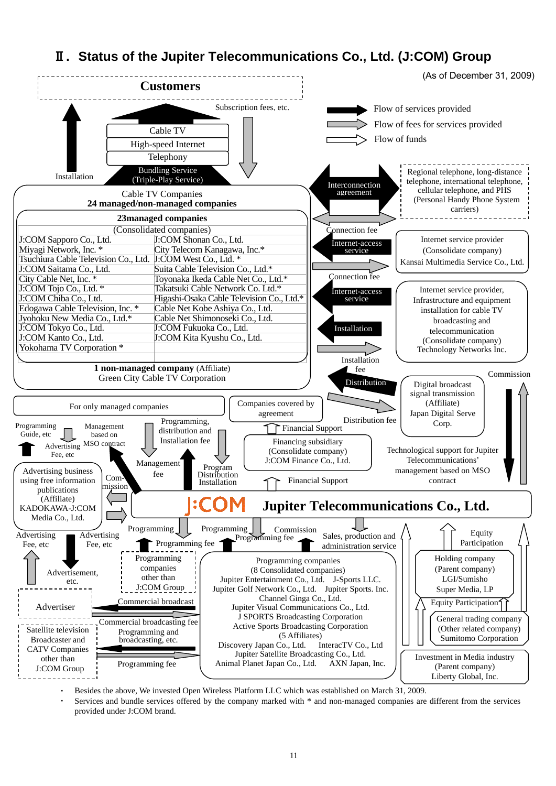# Ⅱ**. Status of the Jupiter Telecommunications Co., Ltd. (J:COM) Group**



Besides the above, We invested Open Wireless Platform LLC which was established on March 31, 2009.

Services and bundle services offered by the company marked with \* and non-managed companies are different from the services provided under J:COM brand.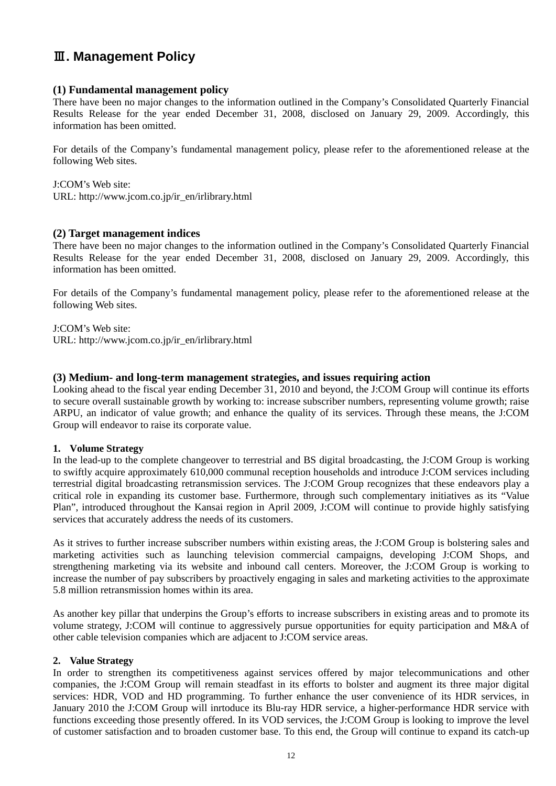# Ⅲ**. Management Policy**

### **(1) Fundamental management policy**

There have been no major changes to the information outlined in the Company's Consolidated Quarterly Financial Results Release for the year ended December 31, 2008, disclosed on January 29, 2009. Accordingly, this information has been omitted.

For details of the Company's fundamental management policy, please refer to the aforementioned release at the following Web sites.

J:COM's Web site: URL: http://www.jcom.co.jp/ir\_en/irlibrary.html

### **(2) Target management indices**

There have been no major changes to the information outlined in the Company's Consolidated Quarterly Financial Results Release for the year ended December 31, 2008, disclosed on January 29, 2009. Accordingly, this information has been omitted.

For details of the Company's fundamental management policy, please refer to the aforementioned release at the following Web sites.

J:COM's Web site: URL: http://www.jcom.co.jp/ir\_en/irlibrary.html

### **(3) Medium- and long-term management strategies, and issues requiring action**

Looking ahead to the fiscal year ending December 31, 2010 and beyond, the J:COM Group will continue its efforts to secure overall sustainable growth by working to: increase subscriber numbers, representing volume growth; raise ARPU, an indicator of value growth; and enhance the quality of its services. Through these means, the J:COM Group will endeavor to raise its corporate value.

### **1. Volume Strategy**

In the lead-up to the complete changeover to terrestrial and BS digital broadcasting, the J:COM Group is working to swiftly acquire approximately 610,000 communal reception households and introduce J:COM services including terrestrial digital broadcasting retransmission services. The J:COM Group recognizes that these endeavors play a critical role in expanding its customer base. Furthermore, through such complementary initiatives as its "Value Plan", introduced throughout the Kansai region in April 2009, J:COM will continue to provide highly satisfying services that accurately address the needs of its customers.

As it strives to further increase subscriber numbers within existing areas, the J:COM Group is bolstering sales and marketing activities such as launching television commercial campaigns, developing J:COM Shops, and strengthening marketing via its website and inbound call centers. Moreover, the J:COM Group is working to increase the number of pay subscribers by proactively engaging in sales and marketing activities to the approximate 5.8 million retransmission homes within its area.

As another key pillar that underpins the Group's efforts to increase subscribers in existing areas and to promote its volume strategy, J:COM will continue to aggressively pursue opportunities for equity participation and M&A of other cable television companies which are adjacent to J:COM service areas.

### **2. Value Strategy**

In order to strengthen its competitiveness against services offered by major telecommunications and other companies, the J:COM Group will remain steadfast in its efforts to bolster and augment its three major digital services: HDR, VOD and HD programming. To further enhance the user convenience of its HDR services, in January 2010 the J:COM Group will inrtoduce its Blu-ray HDR service, a higher-performance HDR service with functions exceeding those presently offered. In its VOD services, the J:COM Group is looking to improve the level of customer satisfaction and to broaden customer base. To this end, the Group will continue to expand its catch-up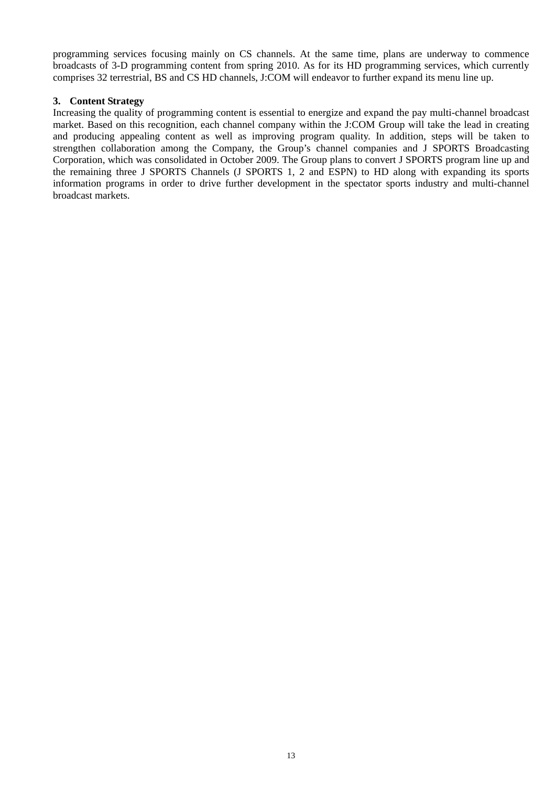programming services focusing mainly on CS channels. At the same time, plans are underway to commence broadcasts of 3-D programming content from spring 2010. As for its HD programming services, which currently comprises 32 terrestrial, BS and CS HD channels, J:COM will endeavor to further expand its menu line up.

### **3. Content Strategy**

Increasing the quality of programming content is essential to energize and expand the pay multi-channel broadcast market. Based on this recognition, each channel company within the J:COM Group will take the lead in creating and producing appealing content as well as improving program quality. In addition, steps will be taken to strengthen collaboration among the Company, the Group's channel companies and J SPORTS Broadcasting Corporation, which was consolidated in October 2009. The Group plans to convert J SPORTS program line up and the remaining three J SPORTS Channels (J SPORTS 1, 2 and ESPN) to HD along with expanding its sports information programs in order to drive further development in the spectator sports industry and multi-channel broadcast markets.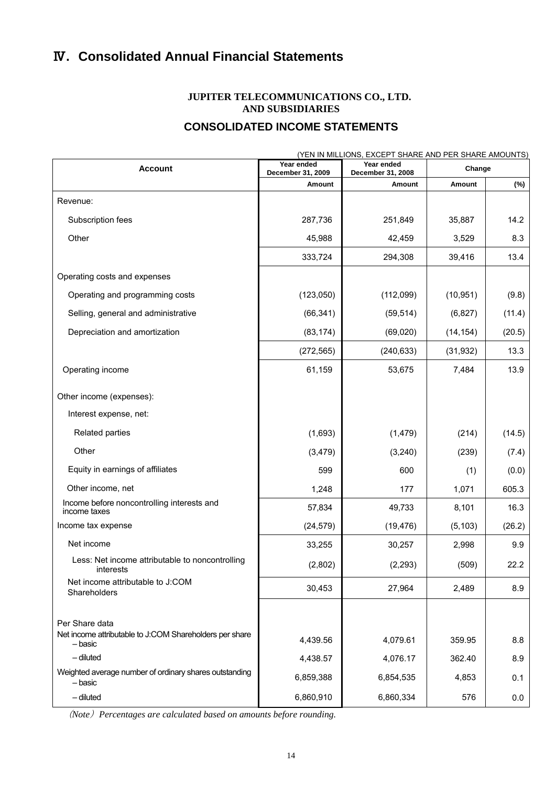# Ⅳ**. Consolidated Annual Financial Statements**

# **JUPITER TELECOMMUNICATIONS CO., LTD. AND SUBSIDIARIES**

# **CONSOLIDATED INCOME STATEMENTS**

|                                                                    |                                 | (YEN IN MILLIONS, EXCEPT SHARE AND PER SHARE AMOUNTS) |           |        |
|--------------------------------------------------------------------|---------------------------------|-------------------------------------------------------|-----------|--------|
| <b>Account</b>                                                     | Year ended<br>December 31, 2009 | Year ended<br>December 31, 2008                       | Change    |        |
|                                                                    | Amount                          | Amount                                                | Amount    | (%)    |
| Revenue:                                                           |                                 |                                                       |           |        |
| Subscription fees                                                  | 287,736                         | 251,849                                               | 35,887    | 14.2   |
| Other                                                              | 45,988                          | 42,459                                                | 3,529     | 8.3    |
|                                                                    | 333,724                         | 294,308                                               | 39,416    | 13.4   |
| Operating costs and expenses                                       |                                 |                                                       |           |        |
| Operating and programming costs                                    | (123,050)                       | (112,099)                                             | (10, 951) | (9.8)  |
| Selling, general and administrative                                | (66, 341)                       | (59, 514)                                             | (6, 827)  | (11.4) |
| Depreciation and amortization                                      | (83, 174)                       | (69, 020)                                             | (14, 154) | (20.5) |
|                                                                    | (272, 565)                      | (240, 633)                                            | (31, 932) | 13.3   |
| Operating income                                                   | 61,159                          | 53,675                                                | 7,484     | 13.9   |
| Other income (expenses):                                           |                                 |                                                       |           |        |
| Interest expense, net:                                             |                                 |                                                       |           |        |
| Related parties                                                    | (1,693)                         | (1, 479)                                              | (214)     | (14.5) |
| Other                                                              | (3, 479)                        | (3, 240)                                              | (239)     | (7.4)  |
| Equity in earnings of affiliates                                   | 599                             | 600                                                   | (1)       | (0.0)  |
| Other income, net                                                  | 1,248                           | 177                                                   | 1,071     | 605.3  |
| Income before noncontrolling interests and<br>income taxes         | 57,834                          | 49,733                                                | 8,101     | 16.3   |
| Income tax expense                                                 | (24, 579)                       | (19, 476)                                             | (5, 103)  | (26.2) |
| Net income                                                         | 33,255                          | 30,257                                                | 2,998     | 9.9    |
| Less: Net income attributable to noncontrolling<br>interests       | (2,802)                         | (2, 293)                                              | (509)     | 22.2   |
| Net income attributable to J:COM<br>Shareholders                   | 30,453                          | 27,964                                                | 2,489     | 8.9    |
| Per Share data                                                     |                                 |                                                       |           |        |
| Net income attributable to J:COM Shareholders per share<br>– basic | 4,439.56                        | 4,079.61                                              | 359.95    | 8.8    |
| $-$ diluted                                                        | 4,438.57                        | 4,076.17                                              | 362.40    | 8.9    |
| Weighted average number of ordinary shares outstanding<br>- basic  | 6,859,388                       | 6,854,535                                             | 4,853     | 0.1    |
| $-$ diluted                                                        | 6,860,910                       | 6,860,334                                             | 576       | 0.0    |

(*Note*)*Percentages are calculated based on amounts before rounding.*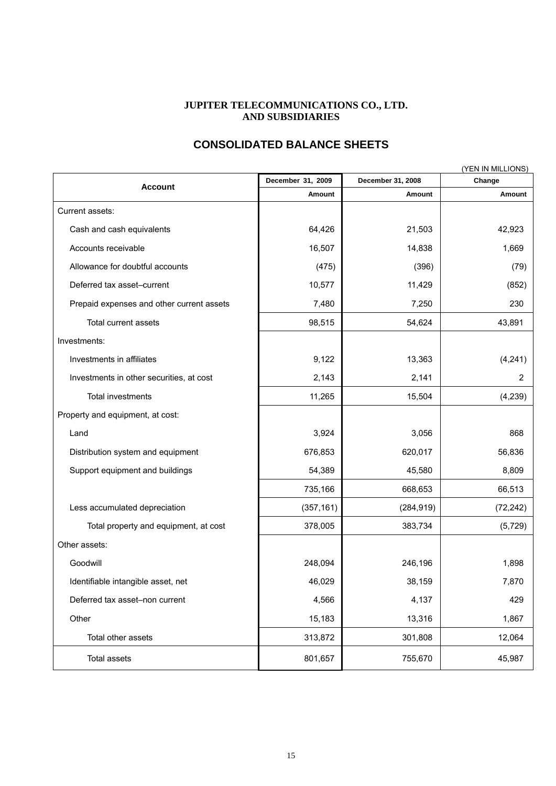### **JUPITER TELECOMMUNICATIONS CO., LTD. AND SUBSIDIARIES**

# **CONSOLIDATED BALANCE SHEETS**

|                                           | December 31, 2009 | December 31, 2008 | (YEN IN MILLIONS)<br>Change |  |
|-------------------------------------------|-------------------|-------------------|-----------------------------|--|
| <b>Account</b>                            | Amount            | Amount            | Amount                      |  |
| Current assets:                           |                   |                   |                             |  |
| Cash and cash equivalents                 | 64,426            | 21,503            | 42,923                      |  |
| Accounts receivable                       | 16,507            | 14,838            | 1,669                       |  |
| Allowance for doubtful accounts           | (475)             | (396)             | (79)                        |  |
| Deferred tax asset-current                | 10,577            | 11,429            | (852)                       |  |
| Prepaid expenses and other current assets | 7,480             | 7,250             | 230                         |  |
| Total current assets                      | 98,515            | 54,624            | 43,891                      |  |
| Investments:                              |                   |                   |                             |  |
| Investments in affiliates                 | 9,122             | 13,363            | (4,241)                     |  |
| Investments in other securities, at cost  | 2,143             | 2,141             | 2                           |  |
| Total investments                         | 11,265            | 15,504            | (4, 239)                    |  |
| Property and equipment, at cost:          |                   |                   |                             |  |
| Land                                      | 3,924             | 3,056             | 868                         |  |
| Distribution system and equipment         | 676,853           | 620,017           | 56,836                      |  |
| Support equipment and buildings           | 54,389            | 45,580            | 8,809                       |  |
|                                           | 735,166           | 668,653           | 66,513                      |  |
| Less accumulated depreciation             | (357, 161)        | (284, 919)        | (72, 242)                   |  |
| Total property and equipment, at cost     | 378,005           | 383,734           | (5, 729)                    |  |
| Other assets:                             |                   |                   |                             |  |
| Goodwill                                  | 248,094           | 246,196           | 1,898                       |  |
| Identifiable intangible asset, net        | 46,029            | 38,159            | 7,870                       |  |
| Deferred tax asset-non current            | 4,566             | 4,137             | 429                         |  |
| Other                                     | 15,183            | 13,316            | 1,867                       |  |
| Total other assets                        | 313,872           | 301,808           | 12,064                      |  |
| Total assets                              | 801,657           | 755,670           | 45,987                      |  |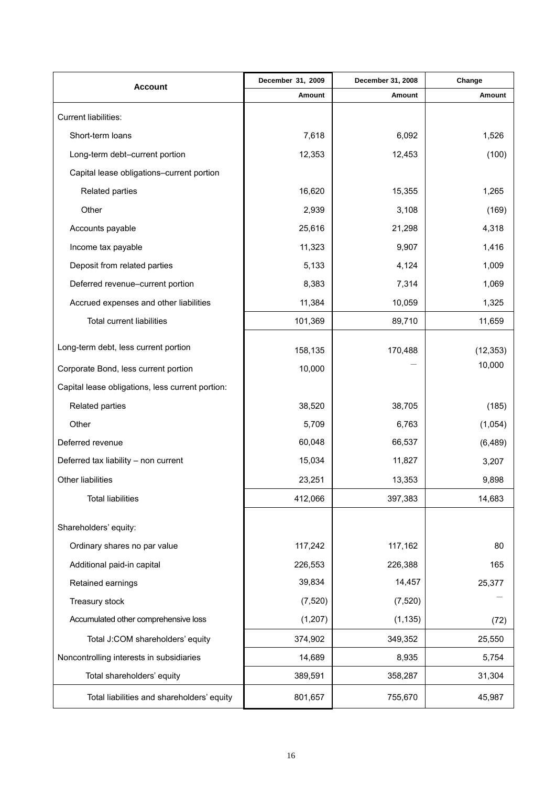| <b>Account</b>                                   | December 31, 2009 | December 31, 2008 | Change    |
|--------------------------------------------------|-------------------|-------------------|-----------|
|                                                  | Amount            | Amount            | Amount    |
| <b>Current liabilities:</b>                      |                   |                   |           |
| Short-term loans                                 | 7,618             | 6,092             | 1,526     |
| Long-term debt-current portion                   | 12,353            | 12,453            | (100)     |
| Capital lease obligations-current portion        |                   |                   |           |
| Related parties                                  | 16,620            | 15,355            | 1,265     |
| Other                                            | 2,939             | 3,108             | (169)     |
| Accounts payable                                 | 25,616            | 21,298            | 4,318     |
| Income tax payable                               | 11,323            | 9,907             | 1,416     |
| Deposit from related parties                     | 5,133             | 4,124             | 1,009     |
| Deferred revenue-current portion                 | 8,383             | 7,314             | 1,069     |
| Accrued expenses and other liabilities           | 11,384            | 10,059            | 1,325     |
| <b>Total current liabilities</b>                 | 101,369           | 89,710            | 11,659    |
| Long-term debt, less current portion             | 158,135           | 170,488           | (12, 353) |
| Corporate Bond, less current portion             | 10,000            |                   | 10,000    |
| Capital lease obligations, less current portion: |                   |                   |           |
| Related parties                                  | 38,520            | 38,705            | (185)     |
| Other                                            | 5,709             | 6,763             | (1,054)   |
| Deferred revenue                                 | 60,048            | 66,537            | (6, 489)  |
| Deferred tax liability - non current             | 15,034            | 11,827            | 3,207     |
| Other liabilities                                | 23,251            | 13,353            | 9,898     |
| <b>Total liabilities</b>                         | 412,066           | 397,383           | 14,683    |
| Shareholders' equity:                            |                   |                   |           |
| Ordinary shares no par value                     | 117,242           | 117,162           | 80        |
| Additional paid-in capital                       | 226,553           | 226,388           | 165       |
| Retained earnings                                | 39,834            | 14,457            | 25,377    |
| Treasury stock                                   | (7, 520)          | (7, 520)          |           |
| Accumulated other comprehensive loss             | (1, 207)          | (1, 135)          | (72)      |
| Total J:COM shareholders' equity                 | 374,902           | 349,352           | 25,550    |
| Noncontrolling interests in subsidiaries         | 14,689            | 8,935             | 5,754     |
| Total shareholders' equity                       | 389,591           | 358,287           | 31,304    |
| Total liabilities and shareholders' equity       | 801,657           | 755,670           | 45,987    |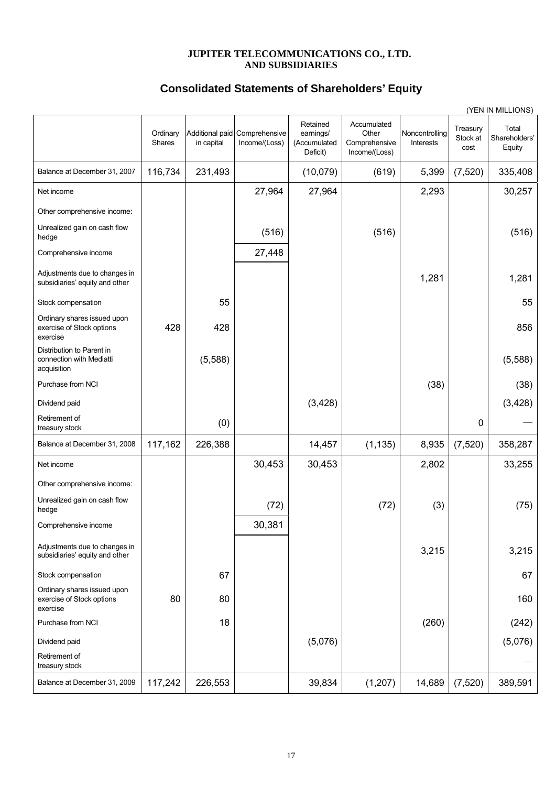### **JUPITER TELECOMMUNICATIONS CO., LTD. AND SUBSIDIARIES**

# **Consolidated Statements of Shareholders' Equity**

|                                                                      |                    |            |                                                |                                                   |                                                        |                             |                              | (YEN IN MILLIONS)                |
|----------------------------------------------------------------------|--------------------|------------|------------------------------------------------|---------------------------------------------------|--------------------------------------------------------|-----------------------------|------------------------------|----------------------------------|
|                                                                      | Ordinary<br>Shares | in capital | Additional paid Comprehensive<br>Income/(Loss) | Retained<br>earnings/<br>(Accumulated<br>Deficit) | Accumulated<br>Other<br>Comprehensive<br>Income/(Loss) | Noncontrolling<br>Interests | Treasury<br>Stock at<br>cost | Total<br>Shareholders'<br>Equity |
| Balance at December 31, 2007                                         | 116,734            | 231,493    |                                                | (10,079)                                          | (619)                                                  | 5,399                       | (7,520)                      | 335,408                          |
| Net income                                                           |                    |            | 27,964                                         | 27,964                                            |                                                        | 2,293                       |                              | 30,257                           |
| Other comprehensive income:                                          |                    |            |                                                |                                                   |                                                        |                             |                              |                                  |
| Unrealized gain on cash flow<br>hedge                                |                    |            | (516)                                          |                                                   | (516)                                                  |                             |                              | (516)                            |
| Comprehensive income                                                 |                    |            | 27,448                                         |                                                   |                                                        |                             |                              |                                  |
| Adjustments due to changes in<br>subsidiaries' equity and other      |                    |            |                                                |                                                   |                                                        | 1,281                       |                              | 1,281                            |
| Stock compensation                                                   |                    | 55         |                                                |                                                   |                                                        |                             |                              | 55                               |
| Ordinary shares issued upon<br>exercise of Stock options<br>exercise | 428                | 428        |                                                |                                                   |                                                        |                             |                              | 856                              |
| Distribution to Parent in<br>connection with Mediatti<br>acquisition |                    | (5,588)    |                                                |                                                   |                                                        |                             |                              | (5,588)                          |
| Purchase from NCI                                                    |                    |            |                                                |                                                   |                                                        | (38)                        |                              | (38)                             |
| Dividend paid                                                        |                    |            |                                                | (3,428)                                           |                                                        |                             |                              | (3, 428)                         |
| Retirement of<br>treasury stock                                      |                    | (0)        |                                                |                                                   |                                                        |                             | 0                            |                                  |
| Balance at December 31, 2008                                         | 117,162            | 226,388    |                                                | 14,457                                            | (1, 135)                                               | 8,935                       | (7,520)                      | 358,287                          |
| Net income                                                           |                    |            | 30,453                                         | 30,453                                            |                                                        | 2,802                       |                              | 33,255                           |
| Other comprehensive income:                                          |                    |            |                                                |                                                   |                                                        |                             |                              |                                  |
| Unrealized gain on cash flow<br>hedge                                |                    |            | (72)                                           |                                                   | (72)                                                   | (3)                         |                              | (75)                             |
| Comprehensive income                                                 |                    |            | 30,381                                         |                                                   |                                                        |                             |                              |                                  |
| Adjustments due to changes in<br>subsidiaries' equity and other      |                    |            |                                                |                                                   |                                                        | 3,215                       |                              | 3,215                            |
| Stock compensation                                                   |                    | 67         |                                                |                                                   |                                                        |                             |                              | 67                               |
| Ordinary shares issued upon<br>exercise of Stock options<br>exercise | 80                 | 80         |                                                |                                                   |                                                        |                             |                              | 160                              |
| Purchase from NCI                                                    |                    | 18         |                                                |                                                   |                                                        | (260)                       |                              | (242)                            |
| Dividend paid                                                        |                    |            |                                                | (5,076)                                           |                                                        |                             |                              | (5,076)                          |
| Retirement of<br>treasury stock                                      |                    |            |                                                |                                                   |                                                        |                             |                              |                                  |
| Balance at December 31, 2009                                         | 117,242            | 226,553    |                                                | 39,834                                            | (1, 207)                                               | 14,689                      | (7, 520)                     | 389,591                          |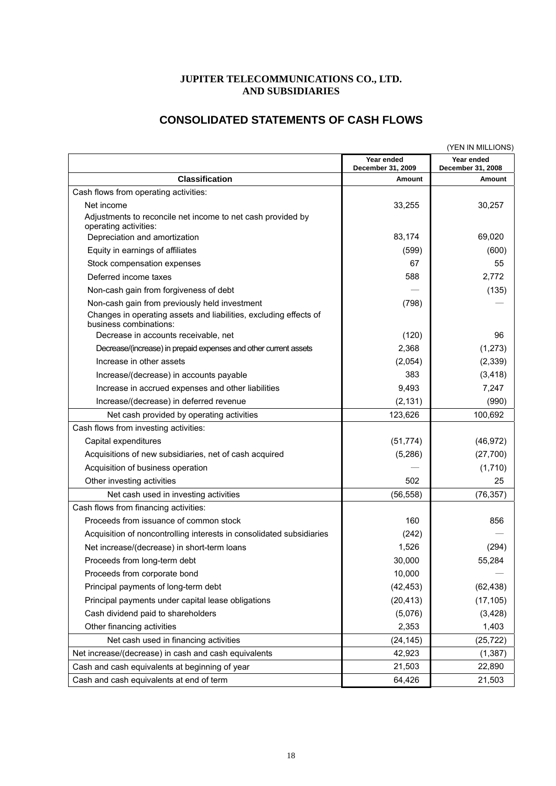# **JUPITER TELECOMMUNICATIONS CO., LTD. AND SUBSIDIARIES**

# **CONSOLIDATED STATEMENTS OF CASH FLOWS**

|                                                                                             |                                 | (YEN IN MILLIONS)               |
|---------------------------------------------------------------------------------------------|---------------------------------|---------------------------------|
|                                                                                             | Year ended<br>December 31, 2009 | Year ended<br>December 31, 2008 |
| <b>Classification</b>                                                                       | Amount                          | Amount                          |
| Cash flows from operating activities:                                                       |                                 |                                 |
| Net income                                                                                  | 33,255                          | 30,257                          |
| Adjustments to reconcile net income to net cash provided by<br>operating activities:        |                                 |                                 |
| Depreciation and amortization                                                               | 83,174                          | 69,020                          |
| Equity in earnings of affiliates                                                            | (599)                           | (600)                           |
| Stock compensation expenses                                                                 | 67                              | 55                              |
| Deferred income taxes                                                                       | 588                             | 2,772                           |
| Non-cash gain from forgiveness of debt                                                      |                                 | (135)                           |
| Non-cash gain from previously held investment                                               | (798)                           |                                 |
| Changes in operating assets and liabilities, excluding effects of<br>business combinations: |                                 |                                 |
| Decrease in accounts receivable, net                                                        | (120)                           | 96                              |
| Decrease/(increase) in prepaid expenses and other current assets                            | 2,368                           | (1, 273)                        |
| Increase in other assets                                                                    | (2,054)                         | (2, 339)                        |
| Increase/(decrease) in accounts payable                                                     | 383                             | (3, 418)                        |
| Increase in accrued expenses and other liabilities                                          | 9,493                           | 7,247                           |
| Increase/(decrease) in deferred revenue                                                     | (2, 131)                        | (990)                           |
| Net cash provided by operating activities                                                   | 123,626                         | 100,692                         |
| Cash flows from investing activities:                                                       |                                 |                                 |
| Capital expenditures                                                                        | (51, 774)                       | (46, 972)                       |
| Acquisitions of new subsidiaries, net of cash acquired                                      | (5,286)                         | (27,700)                        |
| Acquisition of business operation                                                           |                                 | (1,710)                         |
| Other investing activities                                                                  | 502                             | 25                              |
| Net cash used in investing activities                                                       | (56, 558)                       | (76, 357)                       |
| Cash flows from financing activities:                                                       |                                 |                                 |
| Proceeds from issuance of common stock                                                      | 160                             | 856                             |
| Acquisition of noncontrolling interests in consolidated subsidiaries                        | (242)                           |                                 |
| Net increase/(decrease) in short-term loans                                                 | 1,526                           | (294)                           |
| Proceeds from long-term debt                                                                | 30,000                          | 55,284                          |
| Proceeds from corporate bond                                                                | 10,000                          |                                 |
| Principal payments of long-term debt                                                        | (42, 453)                       | (62, 438)                       |
| Principal payments under capital lease obligations                                          | (20, 413)                       | (17, 105)                       |
| Cash dividend paid to shareholders                                                          | (5,076)                         | (3,428)                         |
| Other financing activities                                                                  | 2,353                           | 1,403                           |
| Net cash used in financing activities                                                       | (24, 145)                       | (25, 722)                       |
| Net increase/(decrease) in cash and cash equivalents                                        | 42,923                          | (1, 387)                        |
| Cash and cash equivalents at beginning of year                                              | 21,503                          | 22,890                          |
| Cash and cash equivalents at end of term                                                    | 64,426                          | 21,503                          |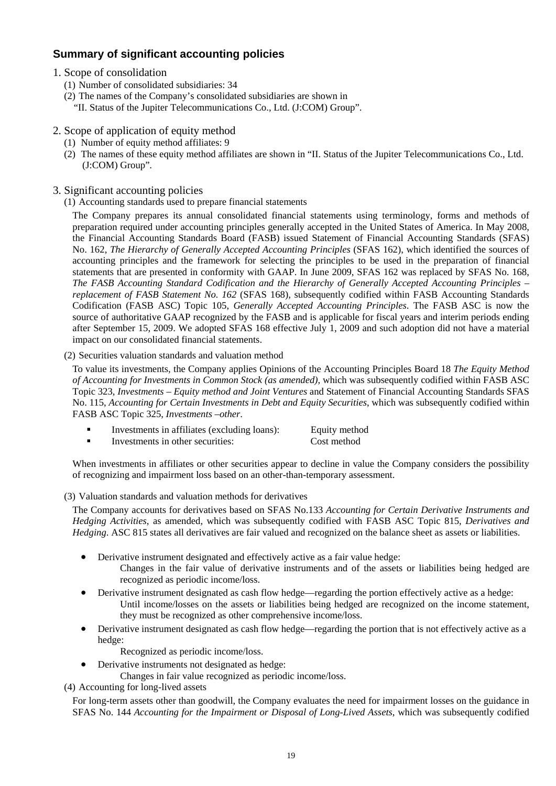# **Summary of significant accounting policies**

- 1. Scope of consolidation
	- (1) Number of consolidated subsidiaries: 34
	- (2) The names of the Company's consolidated subsidiaries are shown in
		- "II. Status of the Jupiter Telecommunications Co., Ltd. (J:COM) Group".
- 2. Scope of application of equity method
	- (1) Number of equity method affiliates: 9
	- (2) The names of these equity method affiliates are shown in "II. Status of the Jupiter Telecommunications Co., Ltd. (J:COM) Group".
- 3. Significant accounting policies
	- (1) Accounting standards used to prepare financial statements

The Company prepares its annual consolidated financial statements using terminology, forms and methods of preparation required under accounting principles generally accepted in the United States of America. In May 2008, the Financial Accounting Standards Board (FASB) issued Statement of Financial Accounting Standards (SFAS) No. 162, *The Hierarchy of Generally Accepted Accounting Principles* (SFAS 162), which identified the sources of accounting principles and the framework for selecting the principles to be used in the preparation of financial statements that are presented in conformity with GAAP. In June 2009, SFAS 162 was replaced by SFAS No. 168, *The FASB Accounting Standard Codification and the Hierarchy of Generally Accepted Accounting Principles – replacement of FASB Statement No. 162* (SFAS 168), subsequently codified within FASB Accounting Standards Codification (FASB ASC) Topic 105, *Generally Accepted Accounting Principles*. The FASB ASC is now the source of authoritative GAAP recognized by the FASB and is applicable for fiscal years and interim periods ending after September 15, 2009. We adopted SFAS 168 effective July 1, 2009 and such adoption did not have a material impact on our consolidated financial statements.

#### (2) Securities valuation standards and valuation method

To value its investments, the Company applies Opinions of the Accounting Principles Board 18 *The Equity Method of Accounting for Investments in Common Stock (as amended),* which was subsequently codified within FASB ASC Topic 323, *Investments – Equity method and Joint Ventures* and Statement of Financial Accounting Standards SFAS No. 115, *Accounting for Certain Investments in Debt and Equity Securities*, which was subsequently codified within FASB ASC Topic 325, *Investments –other*.

- Investments in affiliates (excluding loans): Equity method
- Investments in other securities: Cost method

When investments in affiliates or other securities appear to decline in value the Company considers the possibility of recognizing and impairment loss based on an other-than-temporary assessment.

(3) Valuation standards and valuation methods for derivatives

The Company accounts for derivatives based on SFAS No.133 *Accounting for Certain Derivative Instruments and Hedging Activities*, as amended, which was subsequently codified with FASB ASC Topic 815, *Derivatives and Hedging*. ASC 815 states all derivatives are fair valued and recognized on the balance sheet as assets or liabilities.

- Derivative instrument designated and effectively active as a fair value hedge:
	- Changes in the fair value of derivative instruments and of the assets or liabilities being hedged are recognized as periodic income/loss.
- Derivative instrument designated as cash flow hedge—regarding the portion effectively active as a hedge: Until income/losses on the assets or liabilities being hedged are recognized on the income statement, they must be recognized as other comprehensive income/loss.
- Derivative instrument designated as cash flow hedge—regarding the portion that is not effectively active as a hedge:
	- Recognized as periodic income/loss.
- Derivative instruments not designated as hedge:
	- Changes in fair value recognized as periodic income/loss.

(4) Accounting for long-lived assets

For long-term assets other than goodwill, the Company evaluates the need for impairment losses on the guidance in SFAS No. 144 *Accounting for the Impairment or Disposal of Long-Lived Assets*, which was subsequently codified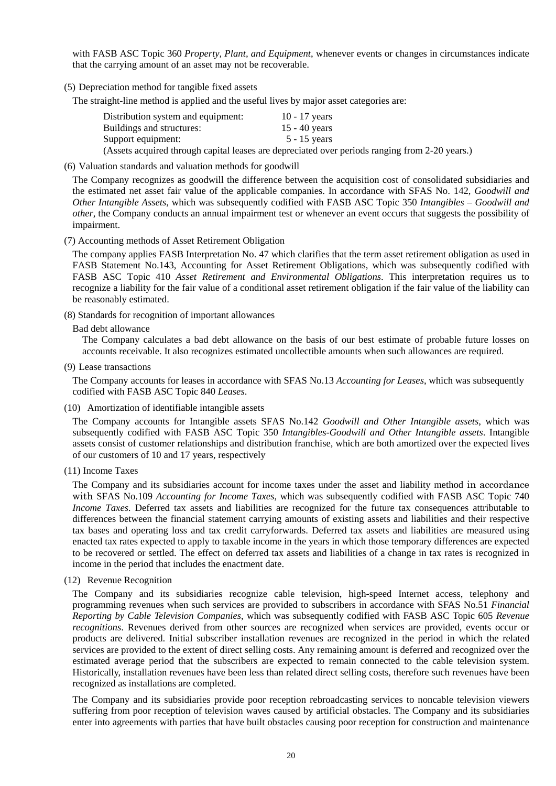with FASB ASC Topic 360 *Property, Plant, and Equipment*, whenever events or changes in circumstances indicate that the carrying amount of an asset may not be recoverable.

(5) Depreciation method for tangible fixed assets

The straight-line method is applied and the useful lives by major asset categories are:

| Distribution system and equipment: | 10 - 17 years                                                                                  |
|------------------------------------|------------------------------------------------------------------------------------------------|
| Buildings and structures:          | 15 - 40 years                                                                                  |
| Support equipment:                 | $5 - 15$ vears                                                                                 |
|                                    | (Assets acquired through capital leases are depreciated over periods ranging from 2-20 years.) |

(6) Valuation standards and valuation methods for goodwill

The Company recognizes as goodwill the difference between the acquisition cost of consolidated subsidiaries and the estimated net asset fair value of the applicable companies. In accordance with SFAS No. 142, *Goodwill and Other Intangible Assets*, which was subsequently codified with FASB ASC Topic 350 *Intangibles – Goodwill and other*, the Company conducts an annual impairment test or whenever an event occurs that suggests the possibility of impairment.

(7) Accounting methods of Asset Retirement Obligation

The company applies FASB Interpretation No. 47 which clarifies that the term asset retirement obligation as used in FASB Statement No.143, Accounting for Asset Retirement Obligations, which was subsequently codified with FASB ASC Topic 410 *Asset Retirement and Environmental Obligations*. This interpretation requires us to recognize a liability for the fair value of a conditional asset retirement obligation if the fair value of the liability can be reasonably estimated.

- (8) Standards for recognition of important allowances
	- Bad debt allowance

The Company calculates a bad debt allowance on the basis of our best estimate of probable future losses on accounts receivable. It also recognizes estimated uncollectible amounts when such allowances are required.

(9) Lease transactions

The Company accounts for leases in accordance with SFAS No.13 *Accounting for Leases*, which was subsequently codified with FASB ASC Topic 840 *Leases*.

(10) Amortization of identifiable intangible assets

The Company accounts for Intangible assets SFAS No.142 *Goodwill and Other Intangible assets*, which was subsequently codified with FASB ASC Topic 350 *Intangibles-Goodwill and Other Intangible assets*. Intangible assets consist of customer relationships and distribution franchise, which are both amortized over the expected lives of our customers of 10 and 17 years, respectively

(11) Income Taxes

The Company and its subsidiaries account for income taxes under the asset and liability method in accordance with SFAS No.109 *Accounting for Income Taxes*, which was subsequently codified with FASB ASC Topic 740 *Income Taxes*. Deferred tax assets and liabilities are recognized for the future tax consequences attributable to differences between the financial statement carrying amounts of existing assets and liabilities and their respective tax bases and operating loss and tax credit carryforwards. Deferred tax assets and liabilities are measured using enacted tax rates expected to apply to taxable income in the years in which those temporary differences are expected to be recovered or settled. The effect on deferred tax assets and liabilities of a change in tax rates is recognized in income in the period that includes the enactment date.

(12) Revenue Recognition

The Company and its subsidiaries recognize cable television, high-speed Internet access, telephony and programming revenues when such services are provided to subscribers in accordance with SFAS No.51 *Financial Reporting by Cable Television Companies*, which was subsequently codified with FASB ASC Topic 605 *Revenue recognitions*. Revenues derived from other sources are recognized when services are provided, events occur or products are delivered. Initial subscriber installation revenues are recognized in the period in which the related services are provided to the extent of direct selling costs. Any remaining amount is deferred and recognized over the estimated average period that the subscribers are expected to remain connected to the cable television system. Historically, installation revenues have been less than related direct selling costs, therefore such revenues have been recognized as installations are completed.

The Company and its subsidiaries provide poor reception rebroadcasting services to noncable television viewers suffering from poor reception of television waves caused by artificial obstacles. The Company and its subsidiaries enter into agreements with parties that have built obstacles causing poor reception for construction and maintenance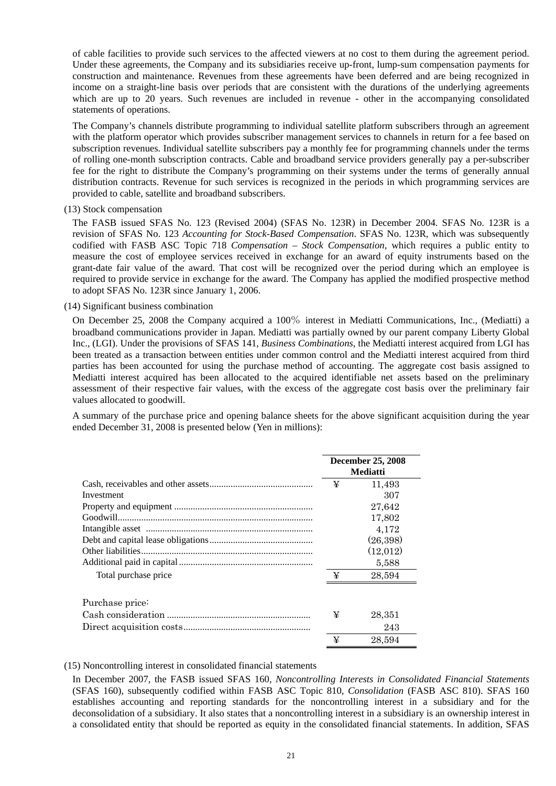of cable facilities to provide such services to the affected viewers at no cost to them during the agreement period. Under these agreements, the Company and its subsidiaries receive up-front, lump-sum compensation payments for construction and maintenance. Revenues from these agreements have been deferred and are being recognized in income on a straight-line basis over periods that are consistent with the durations of the underlying agreements which are up to 20 years. Such revenues are included in revenue - other in the accompanying consolidated statements of operations.

The Company's channels distribute programming to individual satellite platform subscribers through an agreement with the platform operator which provides subscriber management services to channels in return for a fee based on subscription revenues. Individual satellite subscribers pay a monthly fee for programming channels under the terms of rolling one-month subscription contracts. Cable and broadband service providers generally pay a per-subscriber fee for the right to distribute the Company's programming on their systems under the terms of generally annual distribution contracts. Revenue for such services is recognized in the periods in which programming services are provided to cable, satellite and broadband subscribers.

#### (13) Stock compensation

The FASB issued SFAS No. 123 (Revised 2004) (SFAS No. 123R) in December 2004. SFAS No. 123R is a revision of SFAS No. 123 *Accounting for Stock-Based Compensation*. SFAS No. 123R, which was subsequently codified with FASB ASC Topic 718 *Compensation – Stock Compensation*, which requires a public entity to measure the cost of employee services received in exchange for an award of equity instruments based on the grant-date fair value of the award. That cost will be recognized over the period during which an employee is required to provide service in exchange for the award. The Company has applied the modified prospective method to adopt SFAS No. 123R since January 1, 2006.

#### (14) Significant business combination

On December 25, 2008 the Company acquired a 100% interest in Mediatti Communications, Inc., (Mediatti) a broadband communications provider in Japan. Mediatti was partially owned by our parent company Liberty Global Inc., (LGI). Under the provisions of SFAS 141, *Business Combinations*, the Mediatti interest acquired from LGI has been treated as a transaction between entities under common control and the Mediatti interest acquired from third parties has been accounted for using the purchase method of accounting. The aggregate cost basis assigned to Mediatti interest acquired has been allocated to the acquired identifiable net assets based on the preliminary assessment of their respective fair values, with the excess of the aggregate cost basis over the preliminary fair values allocated to goodwill.

A summary of the purchase price and opening balance sheets for the above significant acquisition during the year ended December 31, 2008 is presented below (Yen in millions):

|                      |   | <b>December 25, 2008</b><br><b>Mediatti</b> |  |  |
|----------------------|---|---------------------------------------------|--|--|
|                      | ¥ | 11,493                                      |  |  |
| Investment           |   | 307                                         |  |  |
|                      |   | 27.642                                      |  |  |
|                      |   | 17,802                                      |  |  |
|                      |   | 4,172                                       |  |  |
|                      |   | (26, 398)                                   |  |  |
|                      |   | (12,012)                                    |  |  |
|                      |   | 5,588                                       |  |  |
| Total purchase price | ¥ | 28,594                                      |  |  |
| Purchase price:      |   |                                             |  |  |
|                      | ¥ | 28,351                                      |  |  |
|                      |   | 243                                         |  |  |
|                      | ¥ | 28.594                                      |  |  |

#### (15) Noncontrolling interest in consolidated financial statements

In December 2007, the FASB issued SFAS 160, *Noncontrolling Interests in Consolidated Financial Statements*  (SFAS 160), subsequently codified within FASB ASC Topic 810, *Consolidation* (FASB ASC 810). SFAS 160 establishes accounting and reporting standards for the noncontrolling interest in a subsidiary and for the deconsolidation of a subsidiary. It also states that a noncontrolling interest in a subsidiary is an ownership interest in a consolidated entity that should be reported as equity in the consolidated financial statements. In addition, SFAS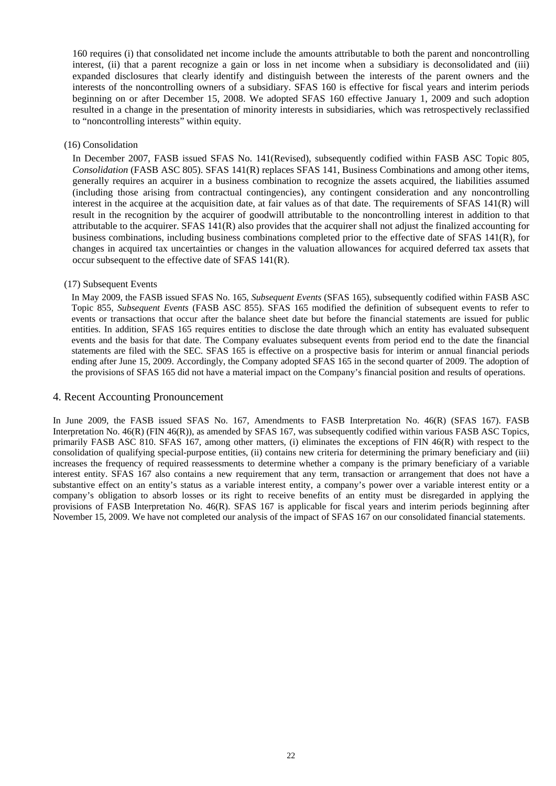160 requires (i) that consolidated net income include the amounts attributable to both the parent and noncontrolling interest, (ii) that a parent recognize a gain or loss in net income when a subsidiary is deconsolidated and (iii) expanded disclosures that clearly identify and distinguish between the interests of the parent owners and the interests of the noncontrolling owners of a subsidiary. SFAS 160 is effective for fiscal years and interim periods beginning on or after December 15, 2008. We adopted SFAS 160 effective January 1, 2009 and such adoption resulted in a change in the presentation of minority interests in subsidiaries, which was retrospectively reclassified to "noncontrolling interests" within equity.

#### (16) Consolidation

In December 2007, FASB issued SFAS No. 141(Revised), subsequently codified within FASB ASC Topic 805, *Consolidation* (FASB ASC 805). SFAS 141(R) replaces SFAS 141, Business Combinations and among other items, generally requires an acquirer in a business combination to recognize the assets acquired, the liabilities assumed (including those arising from contractual contingencies), any contingent consideration and any noncontrolling interest in the acquiree at the acquisition date, at fair values as of that date. The requirements of SFAS 141(R) will result in the recognition by the acquirer of goodwill attributable to the noncontrolling interest in addition to that attributable to the acquirer. SFAS 141(R) also provides that the acquirer shall not adjust the finalized accounting for business combinations, including business combinations completed prior to the effective date of SFAS 141(R), for changes in acquired tax uncertainties or changes in the valuation allowances for acquired deferred tax assets that occur subsequent to the effective date of SFAS 141(R).

#### (17) Subsequent Events

In May 2009, the FASB issued SFAS No. 165, *Subsequent Events* (SFAS 165), subsequently codified within FASB ASC Topic 855, *Subsequent Events* (FASB ASC 855). SFAS 165 modified the definition of subsequent events to refer to events or transactions that occur after the balance sheet date but before the financial statements are issued for public entities. In addition, SFAS 165 requires entities to disclose the date through which an entity has evaluated subsequent events and the basis for that date. The Company evaluates subsequent events from period end to the date the financial statements are filed with the SEC. SFAS 165 is effective on a prospective basis for interim or annual financial periods ending after June 15, 2009. Accordingly, the Company adopted SFAS 165 in the second quarter of 2009. The adoption of the provisions of SFAS 165 did not have a material impact on the Company's financial position and results of operations.

#### 4. Recent Accounting Pronouncement

In June 2009, the FASB issued SFAS No. 167, Amendments to FASB Interpretation No. 46(R) (SFAS 167). FASB Interpretation No. 46(R) (FIN 46(R)), as amended by SFAS 167, was subsequently codified within various FASB ASC Topics, primarily FASB ASC 810. SFAS 167, among other matters, (i) eliminates the exceptions of FIN 46(R) with respect to the consolidation of qualifying special-purpose entities, (ii) contains new criteria for determining the primary beneficiary and (iii) increases the frequency of required reassessments to determine whether a company is the primary beneficiary of a variable interest entity. SFAS 167 also contains a new requirement that any term, transaction or arrangement that does not have a substantive effect on an entity's status as a variable interest entity, a company's power over a variable interest entity or a company's obligation to absorb losses or its right to receive benefits of an entity must be disregarded in applying the provisions of FASB Interpretation No. 46(R). SFAS 167 is applicable for fiscal years and interim periods beginning after November 15, 2009. We have not completed our analysis of the impact of SFAS 167 on our consolidated financial statements.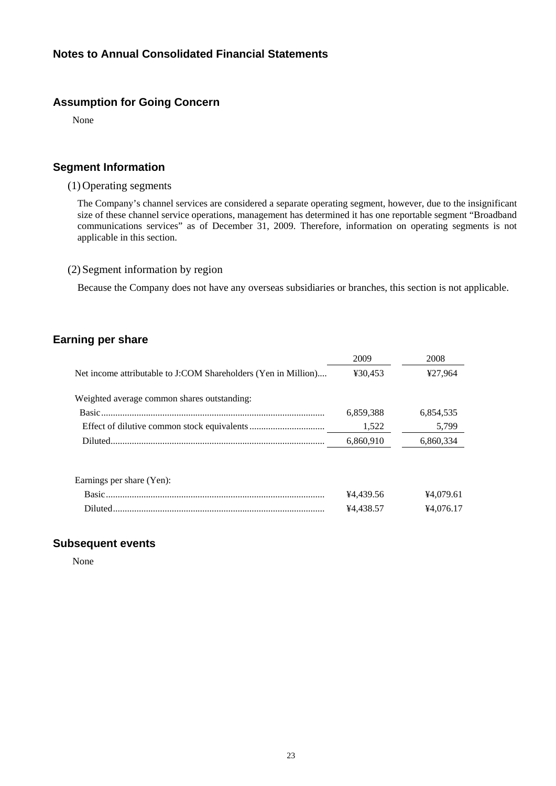# **Assumption for Going Concern**

None

# **Segment Information**

### (1) Operating segments

The Company's channel services are considered a separate operating segment, however, due to the insignificant size of these channel service operations, management has determined it has one reportable segment "Broadband communications services" as of December 31, 2009. Therefore, information on operating segments is not applicable in this section.

### (2) Segment information by region

Because the Company does not have any overseas subsidiaries or branches, this section is not applicable.

# **Earning per share**

|                                                                | 2009      | 2008      |
|----------------------------------------------------------------|-----------|-----------|
| Net income attributable to J:COM Shareholders (Yen in Million) | ¥30,453   | ¥27,964   |
| Weighted average common shares outstanding:                    |           |           |
|                                                                | 6,859,388 | 6,854,535 |
|                                                                | 1,522     | 5,799     |
|                                                                | 6,860,910 | 6,860,334 |
| Earnings per share (Yen):                                      |           |           |
|                                                                | ¥4.439.56 | ¥4.079.61 |

Diluted.......................................................................................... ¥4,438.57 ¥4,076.17

### **Subsequent events**

None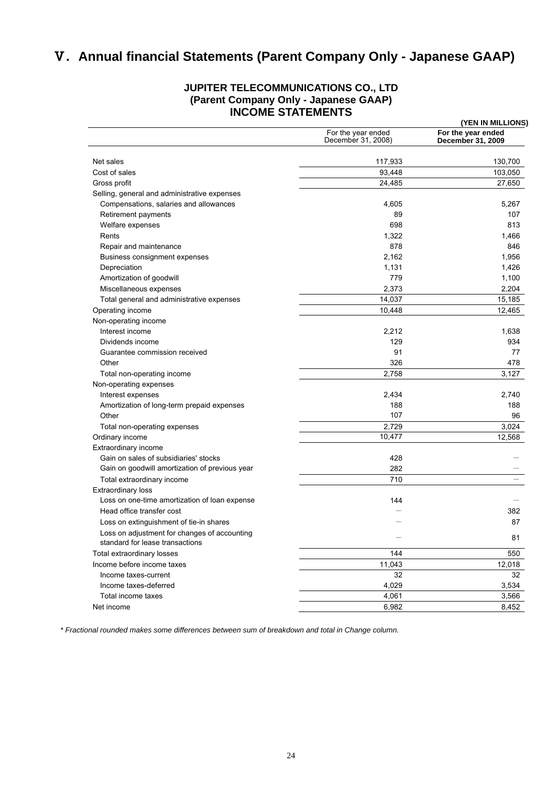# Ⅴ**. Annual financial Statements (Parent Company Only - Japanese GAAP)**

### **JUPITER TELECOMMUNICATIONS CO., LTD (Parent Company Only - Japanese GAAP) INCOME STATEMENTS**

|                                                                                 |                                          | (YEN IN MILLIONS)                       |
|---------------------------------------------------------------------------------|------------------------------------------|-----------------------------------------|
|                                                                                 | For the year ended<br>December 31, 2008) | For the year ended<br>December 31, 2009 |
| Net sales                                                                       | 117,933                                  | 130,700                                 |
| Cost of sales                                                                   | 93,448                                   | 103,050                                 |
| Gross profit                                                                    | 24,485                                   | 27,650                                  |
| Selling, general and administrative expenses                                    |                                          |                                         |
| Compensations, salaries and allowances                                          | 4,605                                    | 5,267                                   |
| Retirement payments                                                             | 89                                       | 107                                     |
| Welfare expenses                                                                | 698                                      | 813                                     |
| Rents                                                                           | 1,322                                    | 1,466                                   |
| Repair and maintenance                                                          | 878                                      | 846                                     |
| Business consignment expenses                                                   | 2,162                                    | 1,956                                   |
| Depreciation                                                                    | 1,131                                    | 1,426                                   |
| Amortization of goodwill                                                        | 779                                      | 1,100                                   |
| Miscellaneous expenses                                                          | 2,373                                    | 2,204                                   |
| Total general and administrative expenses                                       | 14,037                                   | 15,185                                  |
| Operating income                                                                | 10,448                                   | 12,465                                  |
| Non-operating income                                                            |                                          |                                         |
| Interest income                                                                 | 2,212                                    | 1,638                                   |
| Dividends income                                                                | 129                                      | 934                                     |
| Guarantee commission received                                                   | 91                                       | 77                                      |
| Other                                                                           | 326                                      | 478                                     |
| Total non-operating income                                                      | 2,758                                    | 3,127                                   |
| Non-operating expenses                                                          |                                          |                                         |
| Interest expenses                                                               | 2,434                                    | 2,740                                   |
| Amortization of long-term prepaid expenses                                      | 188                                      | 188                                     |
| Other                                                                           | 107                                      | 96                                      |
| Total non-operating expenses                                                    | 2,729                                    | 3,024                                   |
| Ordinary income                                                                 | 10,477                                   | 12,568                                  |
| Extraordinary income                                                            |                                          |                                         |
| Gain on sales of subsidiaries' stocks                                           | 428                                      |                                         |
| Gain on goodwill amortization of previous year                                  | 282                                      |                                         |
| Total extraordinary income                                                      | 710                                      |                                         |
| <b>Extraordinary loss</b>                                                       |                                          |                                         |
| Loss on one-time amortization of loan expense                                   | 144                                      |                                         |
| Head office transfer cost                                                       |                                          | 382                                     |
| Loss on extinguishment of tie-in shares                                         |                                          | 87                                      |
| Loss on adjustment for changes of accounting<br>standard for lease transactions |                                          | 81                                      |
| Total extraordinary losses                                                      | 144                                      | 550                                     |
| Income before income taxes                                                      | 11,043                                   | 12,018                                  |
| Income taxes-current                                                            | 32                                       | 32                                      |
| Income taxes-deferred                                                           | 4,029                                    | 3,534                                   |
| Total income taxes                                                              | 4,061                                    | 3,566                                   |
| Net income                                                                      | 6,982                                    | 8,452                                   |

*\* Fractional rounded makes some differences between sum of breakdown and total in Change column.*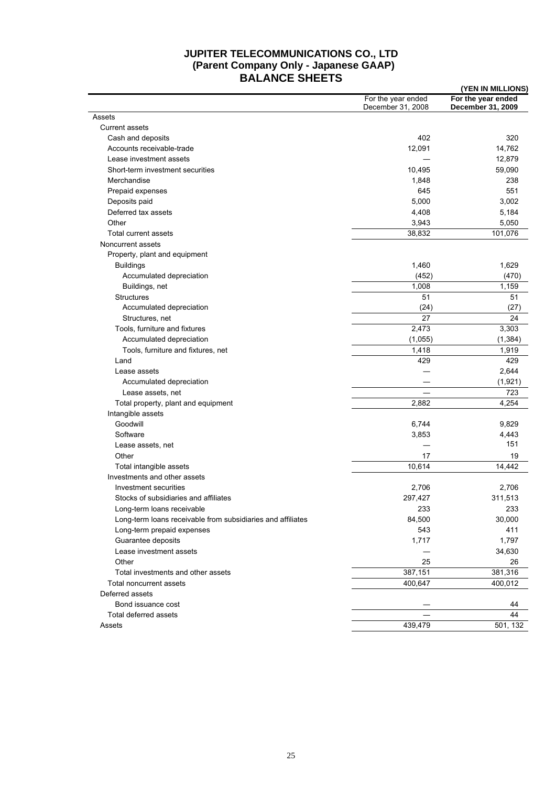# **JUPITER TELECOMMUNICATIONS CO., LTD (Parent Company Only - Japanese GAAP) BALANCE SHEETS (YEN IN MILLIONS)**

|                                                             |                                         | (TEN IN MILLIUNS)                       |
|-------------------------------------------------------------|-----------------------------------------|-----------------------------------------|
|                                                             | For the year ended<br>December 31, 2008 | For the year ended<br>December 31, 2009 |
| Assets                                                      |                                         |                                         |
| <b>Current assets</b>                                       |                                         |                                         |
| Cash and deposits                                           | 402                                     | 320                                     |
| Accounts receivable-trade                                   | 12,091                                  | 14,762                                  |
| Lease investment assets                                     |                                         | 12,879                                  |
| Short-term investment securities                            | 10,495                                  | 59,090                                  |
| Merchandise                                                 | 1,848                                   | 238                                     |
| Prepaid expenses                                            | 645                                     | 551                                     |
| Deposits paid                                               | 5,000                                   | 3,002                                   |
| Deferred tax assets                                         | 4,408                                   | 5,184                                   |
| Other                                                       | 3,943                                   | 5,050                                   |
| Total current assets                                        | 38,832                                  | 101,076                                 |
| Noncurrent assets                                           |                                         |                                         |
| Property, plant and equipment                               |                                         |                                         |
| <b>Buildings</b>                                            | 1,460                                   | 1,629                                   |
| Accumulated depreciation                                    | (452)                                   | (470)                                   |
| Buildings, net                                              | 1,008                                   | 1,159                                   |
| <b>Structures</b>                                           | 51                                      | 51                                      |
| Accumulated depreciation                                    | (24)                                    | (27)                                    |
| Structures, net                                             | 27                                      | 24                                      |
| Tools, furniture and fixtures                               | 2,473                                   | 3,303                                   |
| Accumulated depreciation                                    | (1,055)                                 | (1, 384)                                |
|                                                             |                                         |                                         |
| Tools, furniture and fixtures, net                          | 1,418<br>429                            | 1,919<br>429                            |
| Land                                                        |                                         |                                         |
| Lease assets                                                |                                         | 2,644                                   |
| Accumulated depreciation                                    |                                         | (1,921)                                 |
| Lease assets, net                                           |                                         | 723                                     |
| Total property, plant and equipment                         | 2,882                                   | 4,254                                   |
| Intangible assets                                           |                                         |                                         |
| Goodwill                                                    | 6,744                                   | 9,829                                   |
| Software                                                    | 3,853                                   | 4,443                                   |
| Lease assets, net                                           |                                         | 151                                     |
| Other                                                       | 17                                      | 19                                      |
| Total intangible assets                                     | 10,614                                  | 14,442                                  |
| Investments and other assets                                |                                         |                                         |
| Investment securities                                       | 2,706                                   | 2,706                                   |
| Stocks of subsidiaries and affiliates                       | 297,427                                 | 311,513                                 |
| Long-term loans receivable                                  | 233                                     | 233                                     |
| Long-term loans receivable from subsidiaries and affiliates | 84,500                                  | 30,000                                  |
| Long-term prepaid expenses                                  | 543                                     | 411                                     |
| Guarantee deposits                                          | 1,717                                   | 1,797                                   |
| Lease investment assets                                     |                                         | 34,630                                  |
| Other                                                       | 25                                      | 26                                      |
| Total investments and other assets                          | 387,151                                 | 381,316                                 |
| Total noncurrent assets                                     | 400,647                                 | 400,012                                 |
| Deferred assets                                             |                                         |                                         |
| Bond issuance cost                                          |                                         | 44                                      |
| Total deferred assets                                       |                                         | 44                                      |
| Assets                                                      | 439,479                                 | 501, 132                                |
|                                                             |                                         |                                         |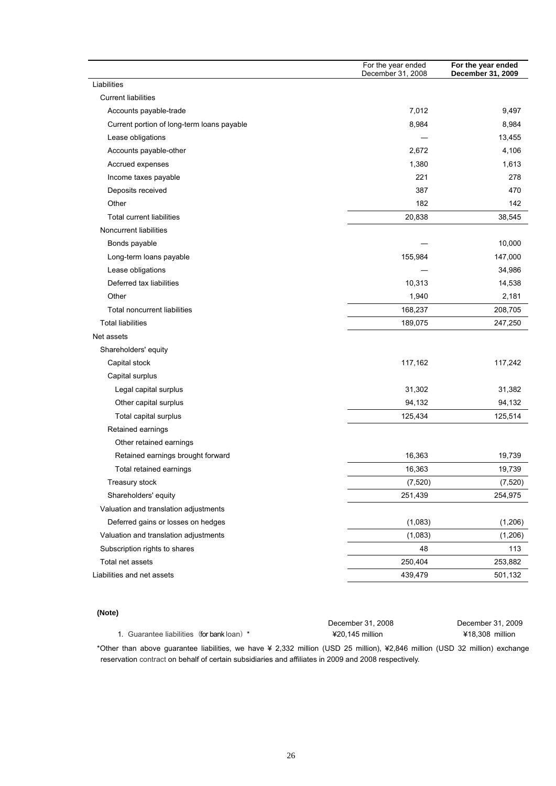|                                            | For the year ended<br>December 31, 2008 | For the year ended<br>December 31, 2009 |
|--------------------------------------------|-----------------------------------------|-----------------------------------------|
| Liabilities                                |                                         |                                         |
| <b>Current liabilities</b>                 |                                         |                                         |
| Accounts payable-trade                     | 7,012                                   | 9,497                                   |
| Current portion of long-term loans payable | 8,984                                   | 8,984                                   |
| Lease obligations                          |                                         | 13,455                                  |
| Accounts payable-other                     | 2.672                                   | 4,106                                   |
| Accrued expenses                           | 1,380                                   | 1,613                                   |
| Income taxes payable                       | 221                                     | 278                                     |
| Deposits received                          | 387                                     | 470                                     |
| Other                                      | 182                                     | 142                                     |
| <b>Total current liabilities</b>           | 20,838                                  | 38,545                                  |
| Noncurrent liabilities                     |                                         |                                         |
| Bonds payable                              |                                         | 10,000                                  |
| Long-term loans payable                    | 155,984                                 | 147,000                                 |
| Lease obligations                          |                                         | 34,986                                  |
| Deferred tax liabilities                   | 10,313                                  | 14,538                                  |
| Other                                      | 1,940                                   | 2,181                                   |
| <b>Total noncurrent liabilities</b>        | 168,237                                 | 208,705                                 |
| <b>Total liabilities</b>                   | 189,075                                 | 247,250                                 |
| Net assets                                 |                                         |                                         |
| Shareholders' equity                       |                                         |                                         |
| Capital stock                              | 117,162                                 | 117,242                                 |
| Capital surplus                            |                                         |                                         |
| Legal capital surplus                      | 31,302                                  | 31,382                                  |
| Other capital surplus                      | 94,132                                  | 94,132                                  |
| Total capital surplus                      | 125,434                                 | 125,514                                 |
| Retained earnings                          |                                         |                                         |
| Other retained earnings                    |                                         |                                         |
| Retained earnings brought forward          | 16,363                                  | 19,739                                  |
| Total retained earnings                    | 16,363                                  | 19,739                                  |
| Treasury stock                             | (7, 520)                                | (7, 520)                                |
| Shareholders' equity                       | 251,439                                 | 254,975                                 |
| Valuation and translation adjustments      |                                         |                                         |
| Deferred gains or losses on hedges         | (1,083)                                 | (1,206)                                 |
| Valuation and translation adjustments      | (1,083)                                 | (1,206)                                 |
| Subscription rights to shares              | 48                                      | 113                                     |
| Total net assets                           | 250,404                                 | 253,882                                 |
| Liabilities and net assets                 | 439,479                                 | 501,132                                 |
|                                            |                                         |                                         |

#### **(Note)**

|                                            | December 31, 2008                                                                                                                                                                                                                       | December 31, 2009 |
|--------------------------------------------|-----------------------------------------------------------------------------------------------------------------------------------------------------------------------------------------------------------------------------------------|-------------------|
| 1. Guarantee liabilities (for bank loan) * | $420.145$ million                                                                                                                                                                                                                       | ¥18.308 million   |
|                                            | $\mathbf{u} = \mathbf{u}$ , and the contract the contract of the contract of the contract of the contract of the contract of the contract of the contract of the contract of the contract of the contract of the contract of the contra |                   |

\*Other than above guarantee liabilities, we have ¥ 2,332 million (USD 25 million), ¥2,846 million (USD 32 million) exchange reservation contract on behalf of certain subsidiaries and affiliates in 2009 and 2008 respectively.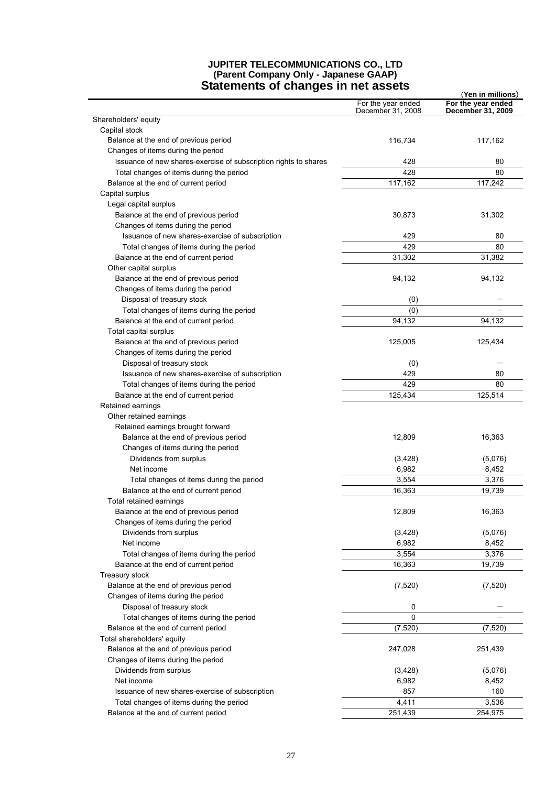# **JUPITER TELECOMMUNICATIONS CO., LTD (Parent Company Only - Japanese GAAP)**

| <b>Statements of changes in net assets</b><br>(Yen in millions)  |                                         |                                         |  |
|------------------------------------------------------------------|-----------------------------------------|-----------------------------------------|--|
|                                                                  | For the year ended<br>December 31, 2008 | For the year ended<br>December 31, 2009 |  |
| Shareholders' equity                                             |                                         |                                         |  |
| Capital stock                                                    |                                         |                                         |  |
| Balance at the end of previous period                            | 116,734                                 | 117,162                                 |  |
| Changes of items during the period                               |                                         |                                         |  |
| Issuance of new shares-exercise of subscription rights to shares | 428                                     | 80                                      |  |
| Total changes of items during the period                         | 428                                     | 80                                      |  |
| Balance at the end of current period                             | 117,162                                 | 117,242                                 |  |
| Capital surplus                                                  |                                         |                                         |  |
| Legal capital surplus                                            |                                         |                                         |  |
| Balance at the end of previous period                            | 30,873                                  | 31,302                                  |  |
| Changes of items during the period                               |                                         |                                         |  |
| Issuance of new shares-exercise of subscription                  | 429                                     | 80                                      |  |
| Total changes of items during the period                         | 429                                     | 80                                      |  |
| Balance at the end of current period                             | 31,302                                  | 31,382                                  |  |
| Other capital surplus                                            |                                         |                                         |  |
| Balance at the end of previous period                            | 94,132                                  | 94,132                                  |  |
| Changes of items during the period                               |                                         |                                         |  |
| Disposal of treasury stock                                       | (0)                                     |                                         |  |
| Total changes of items during the period                         | (0)                                     |                                         |  |
| Balance at the end of current period                             | 94,132                                  | 94,132                                  |  |
| Total capital surplus                                            |                                         |                                         |  |
| Balance at the end of previous period                            | 125,005                                 | 125,434                                 |  |
| Changes of items during the period                               |                                         |                                         |  |
| Disposal of treasury stock                                       |                                         |                                         |  |
|                                                                  | (0)<br>429                              | 80                                      |  |
| Issuance of new shares-exercise of subscription                  | 429                                     | 80                                      |  |
| Total changes of items during the period                         |                                         |                                         |  |
| Balance at the end of current period                             | 125,434                                 | 125,514                                 |  |
| Retained earnings                                                |                                         |                                         |  |
| Other retained earnings                                          |                                         |                                         |  |
| Retained earnings brought forward                                |                                         |                                         |  |
| Balance at the end of previous period                            | 12,809                                  | 16,363                                  |  |
| Changes of items during the period                               |                                         |                                         |  |
| Dividends from surplus                                           | (3,428)                                 | (5,076)                                 |  |
| Net income                                                       | 6,982                                   | 8,452                                   |  |
| Total changes of items during the period                         | 3,554                                   | 3,376                                   |  |
| Balance at the end of current period                             | 16,363                                  | 19,739                                  |  |
| Total retained earnings                                          |                                         |                                         |  |
| Balance at the end of previous period                            | 12,809                                  | 16,363                                  |  |
| Changes of items during the period                               |                                         |                                         |  |
| Dividends from surplus                                           | (3,428)                                 | (5,076)                                 |  |
| Net income                                                       | 6,982                                   | 8,452                                   |  |
| Total changes of items during the period                         | 3,554                                   | 3,376                                   |  |
| Balance at the end of current period                             | 16,363                                  | 19,739                                  |  |
| Treasury stock                                                   |                                         |                                         |  |
| Balance at the end of previous period                            | (7,520)                                 | (7, 520)                                |  |
| Changes of items during the period                               |                                         |                                         |  |
| Disposal of treasury stock                                       | 0                                       |                                         |  |
| Total changes of items during the period                         | 0                                       |                                         |  |
| Balance at the end of current period                             | (7, 520)                                | (7, 520)                                |  |
| Total shareholders' equity                                       |                                         |                                         |  |
| Balance at the end of previous period                            | 247,028                                 | 251,439                                 |  |
| Changes of items during the period                               |                                         |                                         |  |
| Dividends from surplus                                           | (3,428)                                 | (5,076)                                 |  |
| Net income                                                       | 6,982                                   | 8,452                                   |  |
| Issuance of new shares-exercise of subscription                  | 857                                     | 160                                     |  |
| Total changes of items during the period                         | 4,411                                   | 3,536                                   |  |
| Balance at the end of current period                             | 251,439                                 | 254,975                                 |  |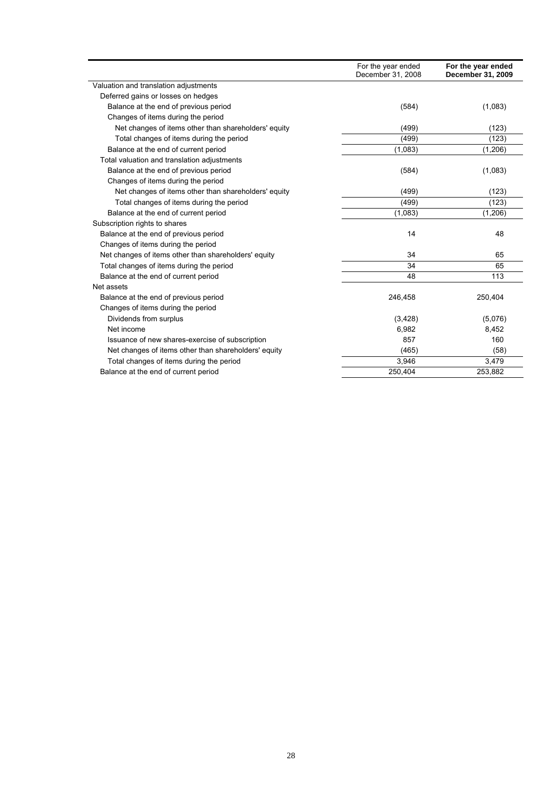|                                                      | For the year ended<br>December 31, 2008 | For the year ended<br>December 31, 2009 |
|------------------------------------------------------|-----------------------------------------|-----------------------------------------|
| Valuation and translation adjustments                |                                         |                                         |
| Deferred gains or losses on hedges                   |                                         |                                         |
| Balance at the end of previous period                | (584)                                   | (1,083)                                 |
| Changes of items during the period                   |                                         |                                         |
| Net changes of items other than shareholders' equity | (499)                                   | (123)                                   |
| Total changes of items during the period             | (499)                                   | (123)                                   |
| Balance at the end of current period                 | (1,083)                                 | (1,206)                                 |
| Total valuation and translation adjustments          |                                         |                                         |
| Balance at the end of previous period                | (584)                                   | (1,083)                                 |
| Changes of items during the period                   |                                         |                                         |
| Net changes of items other than shareholders' equity | (499)                                   | (123)                                   |
| Total changes of items during the period             | (499)                                   | (123)                                   |
| Balance at the end of current period                 | (1,083)                                 | (1,206)                                 |
| Subscription rights to shares                        |                                         |                                         |
| Balance at the end of previous period                | 14                                      | 48                                      |
| Changes of items during the period                   |                                         |                                         |
| Net changes of items other than shareholders' equity | 34                                      | 65                                      |
| Total changes of items during the period             | 34                                      | 65                                      |
| Balance at the end of current period                 | 48                                      | 113                                     |
| Net assets                                           |                                         |                                         |
| Balance at the end of previous period                | 246,458                                 | 250,404                                 |
| Changes of items during the period                   |                                         |                                         |
| Dividends from surplus                               | (3,428)                                 | (5,076)                                 |
| Net income                                           | 6,982                                   | 8,452                                   |
| Issuance of new shares-exercise of subscription      | 857                                     | 160                                     |
| Net changes of items other than shareholders' equity | (465)                                   | (58)                                    |
| Total changes of items during the period             | 3,946                                   | 3,479                                   |
| Balance at the end of current period                 | 250,404                                 | 253,882                                 |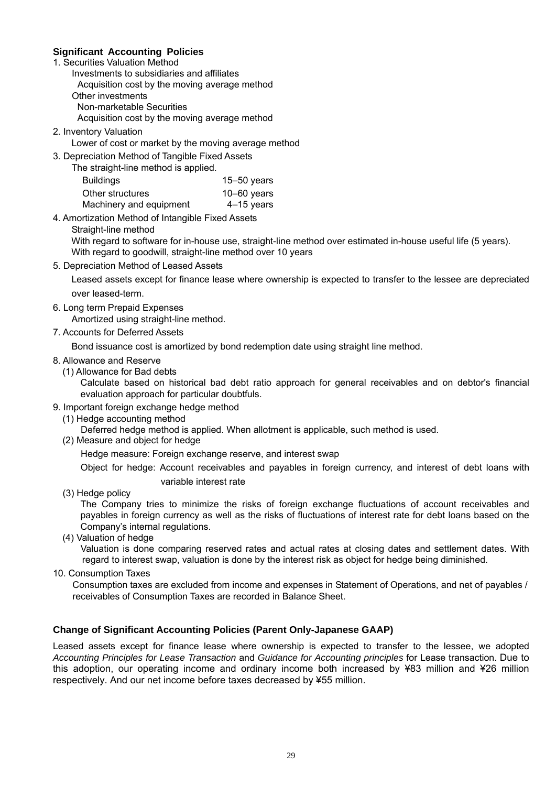### **Significant Accounting Policies**

- 1. Securities Valuation Method
	- Investments to subsidiaries and affiliates Acquisition cost by the moving average method Other investments Non-marketable Securities

Acquisition cost by the moving average method

- 2. Inventory Valuation
	- Lower of cost or market by the moving average method
- 3. Depreciation Method of Tangible Fixed Assets
	- The straight-line method is applied.

| Buildings               | 15 $-50$ years  |
|-------------------------|-----------------|
| Other structures        | $10 - 60$ years |
| Machinery and equipment | $4-15$ years    |

- 4. Amortization Method of Intangible Fixed Assets
	- Straight-line method

With regard to software for in-house use, straight-line method over estimated in-house useful life (5 years). With regard to goodwill, straight-line method over 10 years

5. Depreciation Method of Leased Assets

 Leased assets except for finance lease where ownership is expected to transfer to the lessee are depreciated over leased-term.

6. Long term Prepaid Expenses

Amortized using straight-line method.

7. Accounts for Deferred Assets

Bond issuance cost is amortized by bond redemption date using straight line method.

- 8. Allowance and Reserve
	- (1) Allowance for Bad debts

Calculate based on historical bad debt ratio approach for general receivables and on debtor's financial evaluation approach for particular doubtfuls.

- 9. Important foreign exchange hedge method
- (1) Hedge accounting method

Deferred hedge method is applied. When allotment is applicable, such method is used.

(2) Measure and object for hedge

Hedge measure: Foreign exchange reserve, and interest swap

Object for hedge: Account receivables and payables in foreign currency, and interest of debt loans with

- variable interest rate
- (3) Hedge policy

The Company tries to minimize the risks of foreign exchange fluctuations of account receivables and payables in foreign currency as well as the risks of fluctuations of interest rate for debt loans based on the Company's internal regulations.

(4) Valuation of hedge

Valuation is done comparing reserved rates and actual rates at closing dates and settlement dates. With regard to interest swap, valuation is done by the interest risk as object for hedge being diminished.

10. Consumption Taxes

Consumption taxes are excluded from income and expenses in Statement of Operations, and net of payables / receivables of Consumption Taxes are recorded in Balance Sheet.

### **Change of Significant Accounting Policies (Parent Only-Japanese GAAP)**

Leased assets except for finance lease where ownership is expected to transfer to the lessee, we adopted *Accounting Principles for Lease Transaction* and *Guidance for Accounting principles* for Lease transaction. Due to this adoption, our operating income and ordinary income both increased by ¥83 million and ¥26 million respectively. And our net income before taxes decreased by ¥55 million.